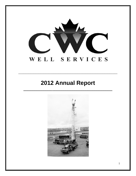

# 2012 Annual Report

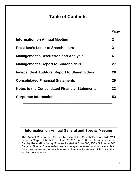# **Table of Contents**

**\_\_\_\_\_\_\_\_\_\_\_\_\_\_\_\_\_\_\_\_\_\_\_\_\_\_\_\_\_\_\_\_\_\_\_\_\_\_\_\_**

|                                                       | Page         |
|-------------------------------------------------------|--------------|
| <b>Information on Annual Meeting</b>                  | $\mathbf{2}$ |
| <b>President's Letter to Shareholders</b>             | 3            |
| <b>Management's Discussion and Analysis</b>           | 6            |
| <b>Management's Report to Shareholders</b>            | 27           |
| Independent Auditors' Report to Shareholders          | 28           |
| <b>Consolidated Financial Statements</b>              | 29           |
| <b>Notes to the Consolidated Financial Statements</b> | 33           |
| <b>Corporate Information</b>                          | 53           |
|                                                       |              |

# **Information on Annual General and Special Meeting**

The Annual General and Special Meeting of the Shareholders of CWC Well Services Corp. will be held on June 26, 2013 at 2:00 p.m. (local time) in the Barclay Room (Bow Valley Square), located at Suite 300, 255 – 5 Avenue SW, Calgary, Alberta. Shareholders are encouraged to attend and those unable to do so are requested to complete and submit the Instrument of Proxy at their earliest convenience.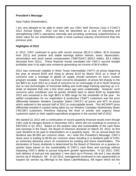## **President's Message**

Dear Fellow Shareholders,

I am very pleased to be able to share with you CWC Well Services Corp.'s ("CWC") 2012 Annual Report. 2012 can best be described as a year of improving and strengthening CWC's operations internally and providing continuing outperformance in share value for our shareholders under a more cautious industry environment than the previous year.

# **Highlights of 2012**

In 2012, CWC continued to grow with record revenue (\$112.3 million; \$2.8 increase from 2011) and positive and stable earnings before interest, taxes, depreciation, amortization and stock based compensation ("EBITDAS") (\$25.0 million; \$3.4 million decrease from 2011). These financial results translated into CWC's second straight profitable year in its eight year existence generating net income of \$4.8 million.

2012 saw continued volatility in West Texas Intermediate ("WTI") oil prices beginning the year at around \$100 and rising to almost \$110 by March 2012 as a result of concerns over a shortage of global oil supply should sanctions on Iran's nuclear program escalate. However, as these concerns dissipated, oil prices fell sharply to the low \$80's by June 2012 as a result of concerns on an oversupply of oil in North America due to new technologies of horizontal drilling and multi-stage fracking opening up U.S. shale oil deposits that only a few short years ago were unattainable. However, such concerns were overblown and oil quickly climbed back to about \$100 by September 2012 and remained in the high \$80's to \$95 range for the remainder of the year. An added complication for our exploration & production ("E&P") customers was the price differential between Western Canadian Select ("WCS") oil prices and WTI oil prices which widened in the second half of 2012 to unacceptable levels. This WCS/WTI price differential resulted in caution being taken by our Western Canadian Sedimentary Basin ("WCSB") customers, therefore reducing the level of activity and urgency these customers spent on their capital expenditure programs in the second half of 2012.

We started Q1 2012 with a continuation of record quarterly financial results even though CWC sold its nitrogen division in December 2011, which did not contribute to revenue or EBITDAS in Q1 2012. Based on the positive view and sustainability of the cash flows and earnings in the future, the Board of Directors declared on March 20, 2012, its first cash dividend to be paid to shareholders on a quarterly basis. On an annual basis the dividend was \$0.065 per common share. As I write this President's Message, CWC's share price is trading at \$0.66 per common share resulting in a dividend yield of 9.8%; an extremely attractive return on investment for existing and future shareholders. The declaration of future dividends is determined by the Board of Directors on a quarter-toquarter basis based on the sustainability of CWC's cash flows and earnings without impacting CWC's ability to pursue long-term growth opportunities. In Q2 2012, CWC took delivery of and put into operation 1 new slant rig in Provost, AB and 1 new double service rig in Weyburn, SK. In Q3 2012, management continued to see opportunities to expand our service rig offerings to the Slave Lake/Wabasca, AB region which led the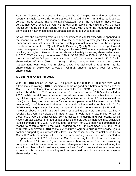Board of Directors to approve an increase to the 2012 capital expenditures budget to recertify 1 single service rig to be deployed in Lloydminster, AB and to build 2 new service rigs to expand into Slave Lake/Wabasca. With the addition of these 5 new service rigs, CWC ended the year with a total of 68 service rigs making CWC the sixth largest service rig company operating in the WCSB with one of the youngest and most technologically advanced fleets in Canada compared to our competitors.

As we saw the slowdown from our E&P customers in capital expenditure spending in the second half of 2012, management took the opportunity to strengthen the leadership team and improve sales, operations and safety personnel in key areas of the company to deliver on our motto of "Quality People Delivering Quality Service". On a go forward basis, management believes these changes will make CWC more competitive, hopefully resulting in a higher utilization of our assets and ultimately increasing shareholder value. In 2012, CWC's share price increased 19% to \$0.70 (2011 – 136% to \$0.59). Including the dividend of \$0.065 per common share, CWC had a total return in 2012 for its shareholders of 30% (2011 – 136%). Since January 2011 when the current management team was put in place, CWC has achieved a total return to its shareholders of 206% over 2 years. All-in-all, another fantastic year for CWC's shareholders!

# **A Good Year Ahead For 2013?**

With Q1 2013 behind us and WTI oil prices in the \$90 to \$100 range with WCS differentials narrowing, 2013 is shaping up to be as good or a better year than 2012 for CWC. The Petroleum Services Association of Canada ("PSAC") if forecasting 12,000 wells to be drilled in 2013; an increase of 9% compared to the 11,025 wells drilled in 2012. While we still have some unanswered questions such as whether the northern leg of the Keystone XL pipeline carrying Canadian crude oil to U.S. refineries will be built (in our view, the main reason for the current pause in activity levels by our E&P customers), CWC is optimistic that such approvals will eventually be obtained. As for NYMEX natural gas prices, it started January 2013 at the bottom around \$3.25 and has increased above \$4.25 in late April 2013, suggesting that North America has finally resolved its oversupply situation in natural gas. Should natural gas prices remain at these levels, CWC's Other Oilfield Service assets of snubbing and well testing, which have a greater exposure to natural gas activities, should see an increase in its utilization levels compared to 2012. Our cautious optimism for 2013 has not dampened our resolve to continue growing the Well Servicing division. In December 2012, the Board of Directors approved a 2013 capital expenditure program to build 3 new service rigs to continue supporting our growth into Slave Lake/Wabasca and the completion of 1 new Class III, 2 inch coil tubing unit. These 3 new service rig builds, which are expected to be operational in Q3 2013, will increase CWC's service rig fleet to 71 units; an increase of 30 units or 73% over a 2 year period (more than any other Canadian service rig company over this same period of time). Management is also actively evaluating the entry into other oilfield service segments where CWC currently does not have any exposure with the view that owning such assets could result in a material increase to shareholder value.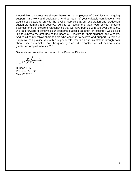I would like to express my sincere thanks to the employees of CWC for their ongoing support, hard work and dedication. Without each of your valuable contributions, we would not be able to provide the level of service that our exploration and production customers demand and deserve. And to our customers, thank you for your ongoing business and the excellent relationships that we have built up with you over the years. We look forward to achieving our economic success together. In closing, I would also like to express my gratitude to the Board of Directors for their guidance and wisdom. And to all of my fellow shareholders who continue to believe and support us, we are happy we can provide you with a superior total return on our investment through both share price appreciation and the quarterly dividend. Together we will achieve even greater accomplishments in 2013.

Sincerely and submitted on behalf of the Board of Directors,

Duncan T. Au President & CEO May 22, 2013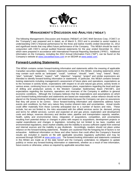

# **MANAGEMENT'S DISCUSSION AND ANALYSIS ("MD&A")**

The following Management's Discussion and Analysis ("MD&A") of CWC Well Services Corp. ("CWC") or the "Company") was prepared and is dated, as of March 5, 2013 and is provided to assist readers in understanding CWC's financial performance for the three and twelve months ended December 31, 2012 and significant trends that may affect future performance of the Company. This MD&A should be read in conjunction with CWC's annual audited financial statements for the year ended December 31, 2012, which were prepared in accordance with International Financial Reporting Standards ("IFRS"). Additional information on the Company, including the 2012 Annual Information Form ("AIF"), can be found on the Company's website at [www.cwcwellservices.com](http://www.cwcwellservices.com/) or on SEDAR at [www.sedar.com.](http://www.sedar.com/)

# **Forward-Looking Statements**

This MD&A contains certain forward-looking information and statements within the meaning of applicable Canadian securities legislation. Certain statements contained in this MD&A, including statements which may contain such words as "anticipate", "could", "continue", "should", "seek", "may", "intend", "likely", "plan", "estimate", "believe", "expect", "will", "objective", "ongoing", "project" and similar expressions are intended to identify forward-looking information or statements. In particular, this MD&A contains forwardlooking statements including management's assessment of future plans and operations, expectations as to the increase in activity levels, expectations with respect to oil and natural gas prices, activity levels in various areas, continuing focus on cost saving measures plans, expectations regarding the level and type of drilling and production activity in the Western Canadian Sedimentary Basin ("WCSB"), and expectations regarding the business, operations and revenues of the Company in addition to general economic conditions. Although the Company believes that the expectations and assumptions on which such forward-looking information and statements are based are reasonable, undue reliance should not be placed on the forward-looking information and statements because the Company can give no assurances that they will prove to be correct. Since forward-looking information and statements address future events and conditions, by their very nature they involve inherent risks and uncertainties. Actual results could differ materially from those currently anticipated due to a number of factors and risks. These include, but are not limited to, the risks associated with the oilfield services sector (ie. demand, pricing and terms for oilfield services; current and expected oil and gas prices; exploration and development costs and delays; reserves discovery and decline rates; pipeline and transportation capacity; weather, health, safety and environmental risks), integration of acquisitions, competition, and uncertainties resulting from potential delays or changes in plans with respect to acquisitions, development projects or capital expenditures and changes in legislation, including but not limited to tax laws, royalties and environmental regulations, stock market volatility and the inability to access sufficient capital from external and internal sources and the inability to pay dividends. Accordingly, readers should not place undue reliance on the forward-looking statements. Readers are cautioned that the foregoing list of factors is not exhaustive. Additional information on these and other factors that could affect the Company's financial results are included in reports on file with applicable securities regulatory authorities and may be accessed through SEDAR at [www.sedar.com.](http://www.sedar.com/) The forward-looking information and statements contained in this MD&A are made as of the date hereof and the Company undertakes no obligation to update publicly or revise any forward-looking information or statements, whether as a result of new information, future events or otherwise, unless so required by applicable securities laws.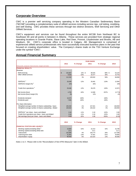# **Corporate Overview**

CWC is a premier well servicing company operating in the Western Canadian Sedimentary Basin ("WCSB") providing a complementary suite of oilfield services including service rigs, coil tubing, snubbing, and well testing. CWC provides these services through two distinct divisions, Well Servicing and Other Oilfield Services.

CWC's equipment and services can be found throughout the entire WCSB from Northeast BC to Southeast SK and all points in between in Alberta. These services are provided from strategic regional operating locations in Grande Prairie, Slave Lake, Red Deer, Provost, Lloydminster and Brooks, AB and Weyburn, SK. CWC's corporate office is located in Calgary, AB. Management is comprised of experienced oilfield service professionals who have successfully executed business plans in the past that focused on creating shareholders' value. The Company's shares trade on the TSX Venture Exchange under the symbol "CWC".

# **Annual Financial Summary**

|                                                            |               |          | <b>YEAR ENDED</b> |          |                  |
|------------------------------------------------------------|---------------|----------|-------------------|----------|------------------|
|                                                            | 2012          | % Change | 2011              | % Change | 2010             |
| \$ thousands, except per share amounts, margins and ratios |               |          |                   |          |                  |
| <b>FINANCIAL RESULTS</b>                                   |               |          |                   |          |                  |
| Revenue                                                    |               |          |                   |          |                  |
| Well servicing                                             | \$<br>102,807 | 15% \$   | 89,025            | 68% \$   | 53,104           |
| Other oilfield services                                    | 9,525         | $-53%$   | 20,477            | 30%      | 15,754           |
|                                                            | 112,332       | 3%       | 109,502           | 59%      | 68,858           |
| EBITDAS <sup>1</sup>                                       | 25,049        | $-12%$   | 28,481            | 119%     | 12,994           |
| EBITDAS margin (%) <sup>1</sup>                            | 22%           |          | 26%               |          | 19%              |
| Funds from operations <sup>2</sup>                         | 25,046        | $-12%$   | 28,476            | 120%     | 12,973           |
| Net income (loss)<br>Net income (loss) margin (%)          | 4.783<br>4%   | $-62%$   | 12,690<br>12%     | $-557%$  | (2,774)<br>$-4%$ |
|                                                            |               |          |                   |          |                  |
| Dividends declared                                         | 10,073        | 100%     |                   | 100%     |                  |
| Dividends paid                                             | 7,556         | 100%     |                   | 100%     |                  |
| Per share information:                                     |               |          |                   |          |                  |
| Weighted average number of shares outstanding - basic      | 155,332       | $-1%$    | 157.021           | $-1%$    | 158,959          |
| Weighted average number of shares outstanding - diluted    | 159,910       | 0%       | 159,422           | 0%       | 158,959          |
| EBITDAS <sup>1</sup> per share - basic and diluted         | 0.16          | $-11%$   | 0.18              | 122%     | 0.08             |
| Funds from operations per share - basic and diluted        | 0.16          | $-11%$   | 0.18              | 122%     | 0.08             |
| Net earnings (loss) per share - basic and diluted          | 0.03          | $-62%$   | 0.08              | -563%    | (0.02)           |
|                                                            | 2012          | % Change | 2011              | % Change | 2010             |
| <b>FINANCIAL POSITION AND LIQUIDITY</b>                    |               |          |                   |          |                  |
| Working capital (excluding debt) <sup>3</sup>              | 10,683        | $-52%$   | 22,414            | 42%      | 15,790           |
| Working capital (excluding debt) ratio                     | 1.8:1         |          | 3.4:1             |          | 3.2:1            |
| <b>Total assets</b>                                        | 152,680       | $-4%$    | 159,774           | 26%      | 127,098          |
| Total long-term debt                                       | 41,841        | $-13%$   | 47,941            | 61%      | 29,860           |
| Shareholders' equity                                       | 96,465        | $-6%$    | 102,624           | 14%      | 89,986           |

*Notes 1 to 3 - Please refer to the "Reconciliation of Non-IFRS Measures" later in this MD&A.*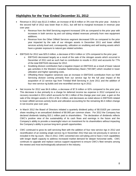# **Highlights for the Year Ended December 31, 2012**

- Revenue in 2012 was \$112.3 million, an increase of \$2.8 million or 3% over the prior year. Activity in the second half of 2012 was lower than in 2011, but still led to marginal increases in revenue year over year:
	- o Revenue from the Well Servicing segment increased 15% as compared to the prior year with increases in both service rig and coil tubing related revenues primarily from new equipment additions.
	- o Revenue from the Other Oilfield Services segment decreased 53% as compared to the prior year impacted by the sale of our nitrogen assets in December 2011 and lower oilfield services activity level and, consequently, utilization on snubbing and well testing assets which have a greater exposure to natural gas related activities.
- EBITDAS for 2012 was \$25.0 million, a decrease of \$3.4 million or 12% compared to the prior year:
	- o EBITDAS decreased largely as a result of the sale of the nitrogen assets which occurred in December of 2011 and as such had no contribution to results in 2012 and accounts for 77% of the total EBITDAS decrease for 2012.
	- o Snubbing division contribution had a negative impact on EBITDAS as a result of lower natural gas activities in the Western Canadian Sedimentary Basin ("WCSB") which resulted in lower utilization and higher operating costs.
	- o Offsetting these negative variances was an increase in EBITDAS contribution from our Well Servicing division coming primarily from our service rigs for the full year impact of the acquisition of 22 service rigs from Trinidad Well Servicing in June 2011 and the addition of four new service rig builds and one recertified service rig in 2012.
- Net income for 2012 was \$4.8 million, a decrease of \$7.9 million or 62% compared to the prior year. This decrease is due primarily to a charge for deferred income tax expense in 2012 compared to a recovery recorded in 2011 which accounts for \$3.1 million of the change year over year, a gain on the sale of the nitrogen assets in 2011 of \$1.4 million, and decreases as noted above in EBITDAS related to lower oilfield services activity levels and utilization accounting for the remaining \$3.4 million change in net income year over year.
- In March 2012 the Board of Directors initiated a quarterly dividend policy of \$0.01625 per common share resulting in an annualized dividend of \$0.065 per common share. For 2012 the Company has declared dividends totaling \$10.1 million paid to shareholders. The declaration of dividends reflects CWC's positive view of the sustainability of its cash flows and earnings in the future and the Company's ability to provide a meaningful return on investment for its shareholders without impacting the Company's ability to pursue long-term growth opportunities.
- CWC continued to grow its well servicing fleet with the addition of four new service rigs in 2012 and recertification of an existing single service rig in November 2012 that was not previously in service or included in the rig count. Also in 2012, CWC converted one coil tubing unit to have 2 inch capabilities with longer depth capacity to address increased market demand for deeper horizontal wells. CWC continues to upgrade and replace various support equipment to ensure CWC's fleet remains among the newest and most technologically advanced in the industry.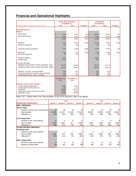# **Financial and Operational Highlights**

|                                                                                                                                                                                                                                       |                                                | <b>THREE MONTHS ENDED</b><br><b>DECEMBER 31</b> |           | <b>YEAR ENDED</b><br><b>DECEMBER 31</b> |         |          |
|---------------------------------------------------------------------------------------------------------------------------------------------------------------------------------------------------------------------------------------|------------------------------------------------|-------------------------------------------------|-----------|-----------------------------------------|---------|----------|
| \$ thousands, except per share amounts, margins and ratios                                                                                                                                                                            | 2012                                           | 2011                                            | % Change  | 2012                                    | 2011    | % Change |
| <b>FINANCIAL RESULTS</b>                                                                                                                                                                                                              |                                                |                                                 |           |                                         |         |          |
| Revenue                                                                                                                                                                                                                               |                                                |                                                 |           |                                         |         |          |
| Well servicing                                                                                                                                                                                                                        | $\mathbb{S}$<br>27,135 \$                      | 29,116                                          | $(7%)$ \$ | 102,807 \$                              | 89,025  | 15%      |
| Other oilfield services                                                                                                                                                                                                               | 2,261                                          | 6,871                                           | (67%)     | 9,525                                   | 20,477  | (53%)    |
|                                                                                                                                                                                                                                       | 29,396                                         | 35,987                                          | (18%)     | 112,332                                 | 109,502 | 3%       |
| EBITDAS <sup>1</sup>                                                                                                                                                                                                                  | 7,050                                          | 10,630                                          | (34%)     | 25,049                                  | 28,481  | (12%)    |
| EBITDAS margin (%) <sup>1</sup>                                                                                                                                                                                                       | 24%                                            | 30%                                             |           | 22%                                     | 26%     |          |
| Funds from (used in) operations <sup>2</sup>                                                                                                                                                                                          | 7,050                                          | 10,630                                          | (34%)     | 25,046                                  | 28,476  | $-12%$   |
| Net income                                                                                                                                                                                                                            | 1,729                                          | 7,115                                           | (75%)     | 4,783                                   | 12,690  | (62%)    |
| Net income margin (%)                                                                                                                                                                                                                 | 6%                                             | 20%                                             |           | 4%                                      | 12%     |          |
| Dividends declared<br>Dividends paid                                                                                                                                                                                                  | 2,517<br>2,518                                 |                                                 |           | 10,073<br>7,556                         |         |          |
| Per share information                                                                                                                                                                                                                 |                                                |                                                 |           |                                         |         |          |
| Weighted average number of shares outstanding - basic                                                                                                                                                                                 | 154,853                                        | 156,550                                         |           | 155,332                                 | 157,021 |          |
| Weighted average number of shares outstanding - diluted                                                                                                                                                                               | 159,419                                        | 159,810                                         |           | 159,910                                 | 159,422 |          |
| EBITDAS <sup>1</sup> per share - basic and diluted                                                                                                                                                                                    | 0.05                                           | 0.07                                            |           | 0.16                                    | 0.18    |          |
| Funds from operations per share - basic and diluted                                                                                                                                                                                   | 0.05                                           | 0.07                                            |           | 0.16                                    | 0.18    |          |
| Net earnings per share - basic and diluted                                                                                                                                                                                            | 0.01                                           | 0.05                                            |           | 0.03                                    | 0.08    |          |
|                                                                                                                                                                                                                                       | <b>DECEMBER 31,</b><br>2012                    | <b>DECEMBER 31,</b><br>2011                     |           |                                         |         |          |
| <b>FINANCIAL POSITION AND LIQUIDITY</b><br>Working capital (excluding debt) <sup>3</sup><br>Working capital (excluding debt) ratio<br><b>Total assets</b><br>Total long-term debt (including current portion)<br>Shareholders' equity | 10.683<br>1.8:1<br>152,680<br>41,841<br>96,465 | 22,414<br>3.4:1<br>159,774<br>47,941<br>102,624 |           |                                         |         |          |

*Notes 1 to 3 - Please refer to the "Reconciliation of Non-IFRS Measures" later in this MD&A.* 

|                                       |                  | 2012             |                  |                  |                  | 2011             |                  |                  |
|---------------------------------------|------------------|------------------|------------------|------------------|------------------|------------------|------------------|------------------|
| <b>OPERATING HIGHLIGHTS</b>           | <b>Quarter 4</b> | <b>Quarter 3</b> | <b>Quarter 2</b> | <b>Quarter 1</b> | <b>Quarter 4</b> | <b>Quarter 3</b> | <b>Quarter 2</b> | <b>Quarter 1</b> |
| <b>WELL SERVICING</b>                 |                  |                  |                  |                  |                  |                  |                  |                  |
| <b>Service Rigs</b>                   |                  |                  |                  |                  |                  |                  |                  |                  |
| Number of service rigs, end of period | 68               | 65               | 65               | 63               | 63               | 63               | 63               | 41               |
| Hours worked                          | 32,059           | 31,347           | 21,186           | 37,543           | 34,047           | 33,595           | 15,333           | 26,630           |
| Utilization %                         | 53%              | 52%              | 36%              | 65%              | 59%              | 58%              | 38%              | 72%              |
| <b>Coil Tubing Units</b>              |                  |                  |                  |                  |                  |                  |                  |                  |
| Number of units, end of period        | 8                | 8                | 8                | 8                |                  | 6                | 6                | 6                |
| Hours worked                          | 1,463            | 1,034            | 417              | 3,956            | 2,404            | 1.448            | 567              | 2,960            |
| Utilization %                         | 30%              | 22%              | 9%               | 90%              | 37%              | 26%              | 10%              | 55%              |
| <b>OTHER OILFIELD SERVICES</b>        |                  |                  |                  |                  |                  |                  |                  |                  |
| <b>Snubbing Units</b>                 |                  |                  |                  |                  |                  |                  |                  |                  |
| Number of units, end of period        |                  |                  |                  |                  | 5                | 5                | 5                | 5                |
| Hours worked                          | 1,191            | 574              | 241              | 2,065            | 2,421            | 1,692            | 293              | 1,950            |
| Utilization %                         | 23%              | 11%              | 5%               | 46%              | 53%              | 37%              | 6%               | 43%              |
| <b>Well Testing Units</b>             |                  |                  |                  |                  |                  |                  |                  |                  |
| Number of units, end of period        | 11               | 11               | 11               | 12               | 12               | 12               | 12               | 12               |
| Number of tickets billed              | 204              | 410              | 238              | 468              | 429              | 421              | 178              | 467              |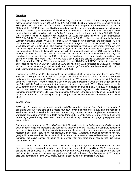#### *Overview*

According to Canadian Association of Oilwell Drilling Contractors ("CAODC"), the average number of active Canadian drilling rigs in Q4 2012 was 376 out of 831 (45%); an increase of 5% compared to the average for Q3 2012 of 330 out of 816 (40%), but a drop of 16% compared to the average for Q4 2011 of 488 out of 804 (61%) drilling rigs. CWC proactively anticipated the drop in drilling activity by shifting over 80% of its service rig work to production maintenance, workovers and abandonments primarily focused on oil-related activities which resulted in Q4 2012 financial results that were better than Q3 2012. While U.S. oil prices remain at healthy levels averaging US\$88.15 per barrel for West Texas Intermediate ("WTI") in Q4 2012 compared to US\$93.90 per barrel in Q4 2011, the discount differential between Western Canadian Select ("WCS"), the price at which most of our exploration and production ("E&P") customers sell their oil at, and WTI increased from an average of US\$12.29 per barrel in Q4 2011 to US\$16.35 per barrel in Q4 2012. This discount pricing differential resulted in less urgency from our E&P customers to get new wells drilled and completed in Q4 2012. Continued uncertainty throughout Q4 2012 over resolution of the U.S. fiscal cliff combined with the potential results of the U.S. election and the likelihood of Keystone XL and Northern Gateway pipelines being built on a timely basis, if at all, also contributed to the decision by our E&P customers to slowdown or postpone capital expenditures on drilling new wells. The overall result for CWC was a decrease in the service rig utilization rate of 52% in 2012 compared to 2011 of 57%. As for natural gas, both NYMEX and AECO continue to experience depressed prices with NYMEX averaging US\$2.75 per MMbtu in 2012 compared to US\$3.99 per MMbtu in 2011. These low natural gas prices continue to have a significant effect on the underutilization of our Coil Tubing, Snubbing and Well Testing assets in Q4 2012.

Revenue for 2012 is up 3% due primarily to the addition of 22 service rigs from the Trinidad Well Servicing ("TWS") acquisition in June 2011 coupled with the addition of five more service rigs from build and recertification programs in 2012 which contributed to a 15% increase in revenue in the Well Servicing segment. This overall revenue increase is offset by the sale in December 2011 of our nitrogen assets in our Other Oilfield Services segment that no longer contribute to revenue in 2012. The nitrogen assets in 2011 contributed \$7.0 million in revenue. In addition declines in snubbing activity in 2012 contributed to the 53% decrease in 2012 revenue in the Other Oilfield Services segment. While revenue growth has increased marginally by 3%, EBITDAS has decreased 12% due to the lower activity levels in snubbing in 2012 compared to 2011 and the higher margin nitrogen business which did not contribute to EBITDAS in 2012.

#### *Well Servicing*

CWC is the  $6<sup>th</sup>$  largest service rig provider in the WCSB, operating a modern fleet of 68 service rigs and 8 coil tubing units as of the date of this report; four new service rigs were built in 2012 and one recertified service rig came into service in the fourth quarter. Rig services include completions, maintenance, workovers and abandonments with depth ratings from 1,500 to 5,000 metres. Our service rig fleet, with its leading edge technology, continues to stand out in an industry characterized by ageing equipment and infrastructure.

During the second quarter of 2011, CWC acquired 22 service rigs from TWS increasing CWC's market share in service rigs and increasing the fleet size at that time by 54%. In 2012, the Company completed the construction of a new slant service rig, two new double service rigs, one new single service rig, and recertified one single service rig not previously in service. Additional growth opportunities for new geographic areas were identified in 2012 which led to the construction of these additional service rigs that increased the active service rig count to 68 service rigs with three more new service rigs being constructed in 2013.

CWC's Class I, II and III coil tubing units have depth ratings from 1,500 to 4,000 metres and are well positioned for the changing demand of our customers for deeper depth capabilities. CWC converted one coil tubing unit to a Class III, 2 inch unit capable of depths of 4,000 meters and was deployed in the field in October 2011, a second unit was deployed to the field before the end of the first quarter of 2012 and a third unit, committed to in the 2012 capital budget, is scheduled to be available in Q3 2013.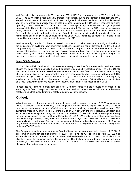Well Servicing division revenue in 2012 was up 15% at \$102.8 million compared to \$89.0 million in the 2011. The \$13.8 million year over year increase was largely due to the increased fleet from the TWS acquisition and new equipment additions in service rigs and coil tubing. While utilization has decreased year over year this was partially offset by rate increases implemented in Q4 2011 in response to higher operating costs, particularly for labour and fuel. Average hourly rates on service rigs improved approximately 8% to \$783 per hour in 2012 as compared to \$727 per hour in 2011. Coil tubing average hourly rates improved 39% to \$1,053 per hour in 2012 compared to \$757 per hour in 2011 driven by our focus on higher margin work and contribution of our higher depth capacity coil tubing units which have a higher price per hour given the demand for these units. CWC continues to monitor its pricing in the competitive landscape and anticipate stable margins in 2013.

Total service rig hours in 2012 have increased 11% over 2011. The increase is primarily attributable to the acquisition of TWS and new equipment additions. Service rig hours decreased 6% for Q4 2012 compared to Q4 2011. The decrease is consistent with the drop in overall industry utilization for service rigs as noted earlier. Utilization of our well service equipment has risen from the lows experienced in 2009 driven by increased spending on exploration and development as a result of generally higher oil prices and an increase in the number of wells now producing oil compared to that of natural gas.

#### *Other Oilfield Services*

CWC's Other Oilfield Services division provides a variety of services for the completion and production phases of oil and natural gas wells from its 8 snubbing units and 11 well testing units. The Other Oilfield Services division revenue decreased by 53% to \$9.5 million in 2012 from \$20.5 million in 2011. During 2011 revenue of \$7.0 million was generated from the nitrogen assets which were sold in December 2011. The remaining \$4.0 million decrease was impacted by a decrease of \$2.6 million from the snubbing units, which continue to be affected by low natural gas prices, and a decrease of \$1.4 million from well testing as a result of lower completions activity in the industry, particularly in the second half of 2012.

In response to changing market conditions, the Company completed the conversion of three of its snubbing units from 3,000 psi to 5,000 psi to reflect the need for higher pressure units and added e-gress safety systems that exceed minimum safety requirements in the industry.

# **Outlook**

While there was a delay in spending by our oil focused exploration and production ("E&P") customers in Q4 2012, current utilization levels in Q1 2013 suggest a modest return to higher activity levels as would be expected in the winter months. CWC intends to continue providing best-in-class services to our E&P customers through "Quality People Delivering Quality Service" with the most relevant, youngest and advanced fleet of equipment. In Q4 2012, CWC took delivery of three additional service rigs increasing the total active service rig fleet to 68 as at December 31, 2012. CWC anticipates that an additional three new service rigs currently being built will be operational in Q3 2013. We will continue to evaluate opportunities to grow the Well Servicing business segment through a disciplined approach in 2013, which may include the addition of new slant service rigs to service the growing number of steam assisted gravity drainage ("SAGD") wells.

The Company recently announced that its Board of Directors declared a quarterly dividend of \$0.01625 per common share for the first quarter of 2013. The dividend will be paid on April 15, 2013 to shareholders of record on March 29, 2013. The ex-dividend date is March 26, 2013. This dividend is an eligible dividend for Canadian income tax purposes. The declaration of dividends is determined on a quarter-by-quarter basis by the Board of Directors and reflects CWC's positive view on the sustainability of its cash flow and earnings in the future.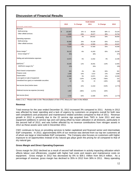# **Discussion of Financial Results**

|                                                 |               |          | <b>YEAR ENDED</b> |          |         |
|-------------------------------------------------|---------------|----------|-------------------|----------|---------|
|                                                 | 2012          | % Change | 2011              | % Change | 2010    |
| \$ thousands, except margins                    |               |          |                   |          |         |
| Revenue                                         |               |          |                   |          |         |
| Well servicing                                  | \$<br>102,807 | 15% \$   | 89,025            | 68% \$   | 53,104  |
| Other oilfield services                         | 9,525         | $-53%$   | 20,477            | 30%      | 15,754  |
|                                                 | 112,332       | 3%       | 109,502           | 59%      | 68,858  |
| Operating expenses                              |               |          |                   |          |         |
| Well servicing                                  | 65,890        | 20%      | 55,106            | 65%      | 33,321  |
| Other oilfield services                         | 7,320         | $-42%$   | 12,563            | 23%      | 10,247  |
|                                                 | 73,210        | 8%       | 67,669            | 55%      | 43,568  |
| Gross margin <sup>1</sup>                       | 39,122        | $-6%$    | 41,833            | 65%      | 25,290  |
| Gross margin % <sup>1</sup>                     | 35%           |          | 38%               |          | 37%     |
| Selling and administrative expenses             | 14,073        | 5%       | 13,352            | 9%       | 12,296  |
| EBITDAS <sup>2</sup>                            | 25,049        | $-12%$   | 28,481            | 119%     | 12,994  |
| EBITDAS margin (%) <sup>2</sup>                 | 22%           |          | 26%               |          | 19%     |
| Stock based compensation                        | 833           | 4%       | 801               | 60%      | 501     |
| Finance costs                                   | 2,948         | $-16%$   | 3,514             | 14%      | 3,089   |
| Depreciation                                    | 14,260        | 3%       | 13,871            | 16%      | 12,006  |
| Loss (gain) on sale of equipment                | 216           | $-116%$  | (1,346)           | $-706%$  | 222     |
| Unrealized loss (gain) on marketable securities | 22            | $-4%$    | 23                | $-146%$  | (50)    |
| Net income (loss) before taxes                  | 6,770         | $-42%$   | 11,618            | $-519%$  | (2,774) |
| Deferred income tax expense (recovery)          | 1,987         | $-285%$  | (1,072)           | 100%     |         |
| Net income (loss)                               | 4,783         | $-62%$   | 12,690            | $-557%$  | (2,774) |

*Notes 1 to 2 - Please refer to the "Reconciliation of Non-IFRS Measures" later in this MD&A.*

#### **Revenue**

Total revenue for the year ended December 31, 2012 increased 3% compared to 2011. Activity in 2012 was affected by lower spending and a lack of urgency by customers on programs overall for both new well completions and production and maintenance related activities compared to that of 2011. Revenue growth in 2012 is primarily due to the 22 service rigs acquired from TWS in June 2011 and new equipment additions in service rigs and coil tubing offset by lower utilization in all divisions, particularly in the second half of 2012, and was further affected by no revenue contributions from nitrogen assets in 2012 as these assets were sold in December 2011.

CWC continues to focus on providing services to better capitalized and financed senior and intermediate E&P companies. In 2012, approximately 60% of our revenue was derived from our top ten customers all of whom are large or intermediate E&P companies. The Company also focuses on customers with higher exposure to oil opportunities instead of dry natural gas plays given the pricing for oil compared to that of dry natural gas.

#### **Gross Margin and Direct Operating Expenses**

Gross margin for 2012 declined as a result of second half slowdown in activity impacting utilization which affects labour cost efficiencies, coupled with higher fuel costs and repairs and maintenance costs on equipment. Gross margin in 2012 has decreased by 6% to \$39.1 million from \$41.8 million. As a percentage of revenue, gross margin has declined to 35% in 2012 from 38% in 2011. Many operating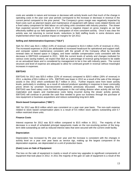costs are variable in nature and increase or decrease with activity levels such that much of the change in operating costs in the year over year periods correspond to the increase or decrease in revenue in the current period compared to the prior period. The Company's gross margin was negatively impacted by fixed costs such as planned repairs and maintenance of equipment with labour costs related thereto and a fixed salary component for field labour on coil tubing units consistent with industry practice. The slower than expected second half activity in 2012 has had a negative impact on gross margins as we had effectively staffed up our field operations in anticipation of more consistent activity. Once it was clear the activity was not returning to normal levels, reductions to field staffing levels in some divisions were implemented which had a positive impact on margins for Q4 2012.

#### **Selling and Administrative Expenses ("S&A")**

S&A for 2012 was \$14.1 million (13% of revenue) compared to \$13.4 million (12% of revenue) in 2011. The increased expenses in 2012 are attributable to increased headcount for operational and support staff, and computer system maintenance consistent with the growth of the Company offset by favorable renewal rates on leased space in Calgary, and lower variable compensation costs consistent with the decrease in EBITDAS compared to 2011. With the current levels of activity and changes instituted for various costs saving matters, we expect that S&A as a percentage of revenue going forward to be stable on an annualized basis and is considered by management to be in line with industry peers. The current structure and level of expense are adequate to allow for continued growth in revenue without meaningful increases in expenses.

#### **EBITDAS**

EBITDAS for 2012 was \$25.0 million (22% of revenue) compared to \$28.5 million (26% of revenue) in 2011, a decline of \$3.4 million or 12%. EBITDAS was lower in 2012 as a result of the sale of the nitrogen assets in Dec 2011 which contributed \$2.7 million in 2011. Further impacts were from lower activity levels, particularly in snubbing, as a result of reduced producer spending in response to lower commodity prices driven by uncertain macroeconomic conditions previously discussed. Also impacting 2012 EBITDAS was fixed salary costs for field employees in the coil tubing division when activity did not fully materialize and repairs and maintenance costs being incurred during the slower activity periods. EBITDAS will continue to provide the cash flow needed to grow our business through the purchase of new equipment or business acquisitions and reduce outstanding long-term debt.

#### **Stock-based Compensation ("SBC")**

SBC for 2012 was \$0.8 million which was consistent on a year over year basis. The non-cash expense related to stock based compensation plans is a result of 9.5 million stock options outstanding and 0.7 million restricted share units.

#### **Finance Costs**

Interest expense for 2012 was \$2.9 million compared to \$3.5 million in 2011. The majority of the decrease is a result of scheduled principal repayments made on the non-revolving portion of the longterm debt outstanding as well as reduced interest rates that were secured with the current credit facility.

#### **Depreciation**

Depreciation has increased by 3% year over year and the increase is consistent with the changes in activity level on a year over year basis as service rigs, making up the largest component of the depreciation expense, are depreciated on a unit of production basis.

#### **(Gain) Loss on Sale of Equipment**

The loss on the sale of equipment is mainly a result of some key upgrades to significant components of equipment that took place in 2012. In 2011 the majority of the gain on sale of equipment is a result of the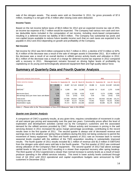sale of the nitrogen assets. The assets were sold on December 9, 2011, for gross proceeds of \$7.6 million, resulting in a net gain of \$1.4 million after closing costs were deducted.

#### **Income Taxes**

Based on the net income before taxes of \$6.8 million for 2012 and an expected income tax rate of 25%, an income tax expense of \$1.7 million would be expected. The Company had various non-cash and nontax deductible items included in the computation of net income, including stock-based compensation, resulting in a deferred income tax liability of \$0.9 million. The Company has substantial tax pools and non-capital losses available to reduce future taxable income such that no cash taxes are expected to be payable in 2012 and 2013 depending on growth and profitability of the Company.

#### **Net Income**

Net income for 2012 was \$4.8 million compared to \$12.7 million in 2011; a decline of \$7.9 million or 62%. \$1.4 million of the decrease was a result of the sale of nitrogen assets in December 2011. \$3.4 million of the decrease was a result of an overall decline in oilfield service activity levels and utilization in 2012. \$3.1 million of the decrease was a result of a charge for deferred income tax expense in 2012 compared with a recovery in 2011. Management remains focused on driving higher levels of profitability by capitalizing on its young and technologically advanced equipment fleet and high quality labour force.

# **Summary of Quarterly Data and Fourth Quarter Analysis**

| \$ thousands, except per share amounts                                |     |                             |      | 2012                        |                             |                              | 2011 |                              |      |                                           |                             |                             |
|-----------------------------------------------------------------------|-----|-----------------------------|------|-----------------------------|-----------------------------|------------------------------|------|------------------------------|------|-------------------------------------------|-----------------------------|-----------------------------|
| <b>THREE MONTHS ENDING</b>                                            |     |                             |      | December 31 September 30    |                             |                              |      |                              |      | June 30 March 31 December 31 September 30 | June 30                     | March 31                    |
| Revenue                                                               | \$  | 29,396 \$                   |      | 26.887                      | \$17,143 \$38,907           |                              | \$   | 35,988                       | - \$ | 31,224                                    | \$12,987                    | \$29,303                    |
| $E$ BITDAS <sup>1</sup>                                               | \$. | 7,050                       | - \$ | 6,348                       | 584                         | 11.066                       |      | 10,630 \$                    |      | 8,142                                     | 1,270                       | 8,439                       |
| Net income (loss)<br>Net earnings (loss) per share: basic and diluted |     | 1,729<br>0.01               |      | 1,255<br>0.01               | (2,726)<br>(0.02)           | 4,525<br>0.03                |      | 8,187<br>0.05                |      | 3.174<br>0.02                             | (2,956)<br>(0.02)           | 4,285<br>0.03               |
| Total assets<br>Total long-term debt<br>Shareholders' equity          |     | 152,680<br>41,841<br>96,465 |      | 147.566<br>37.987<br>97.272 | 146.914<br>32.115<br>98.474 | 160.570<br>44.304<br>101.568 |      | 159.774<br>47,941<br>102,624 |      | 162,933<br>56.827<br>94,389               | 153,382<br>56.331<br>91,178 | 131,271<br>29,863<br>94,002 |

*Notes 1 - Please refer to the "Reconciliation of Non-IFRS Measures" later in this MD&A.*

#### *Quarter over Quarter Analysis*

A comparison of CWC's quarterly results, at any given time, requires consideration of movement in crude oil and natural gas pricing and seasonality over the past two years. Commodity prices affect the level of exploration and development activities carried out by the Company's customers and the associated demand for the oilfield services provided by CWC. Robust activity and increases in pricing in the well servicing division in 2011 increased the gross margin percentage accordingly, contributing to the record results seen in the first quarter of 2011. The second quarter is always one of decreased revenue and earnings due to the weather and spring thaw conditions during this time not being conducive to permit the movement of heavy equipment. The third and fourth quarters of 2011 saw an increase back to normal seasonal levels coupled with the addition of the TWS acquisition resulting in substantially improved results. The fourth quarter of 2011 results included \$2.1 million of revenue and \$1.0 million in EBITDAS from the nitrogen units which were sold late in the fourth quarter. The first quarter of 2012 saw continued strong utilization of the Company's fleet of equipment. The second quarter of 2012 had above average rainfall levels in May and June 2012 resulting in a slower than expected recovery after spring breakup. The third quarter of 2012 experienced a slower than normal increase to activity levels as a result of lower producer spending in the oilfield services industry. This trend in lower activity levels continued through most of Q4 2012 until 2013 operational and capital expenditure budgets were announced by E&P customers in December 2012.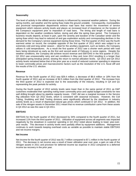#### **Seasonality**

The level of activity in the oilfield service industry is influenced by seasonal weather patterns. During the spring months, wet weather and the spring thaw make the ground unstable. Consequently, municipalities and provincial transportation departments enforce road bans that restrict the movement of service equipment which reduces activity levels and places an increased level of importance on the location of the Company's equipment prior to imposition of road bans. The timing and length of road bans is dependent on the weather conditions before, during and after the spring thaw period. The Company's business results depend, at least in part, upon the severity and duration of the Canadian winter and the spring thaw which may lead to reduced oil and gas exploration activity and corresponding declines in the demand for the Company's service equipment during those times. The first quarter of 2012 was the fourth warmest winter on record, the complete opposite of the first quarter of 2011 which was subject to an extremely cold and long winter season – ideal for the ancillary equipment, such as boilers, the Company utilizes in cold temperatures. As a result the first quarter of 2012 saw a shorter work period with road bans being introduced as early as the first and second week of February in some regions. Despite the weather conditions, the Company did achieve record revenue and EBITDAS in the first quarter of 2012. Q2 2012 saw unseasonably rainy and wet conditions in May and June 2012 resulting in a longer than anticipated spring breakup period, slowing the return to normal utilization levels. Q3 2012 and Q4 2012 activity levels remained below that of the prior year as a result of reduced customer spending in response to lower commodity prices and macroeconomic factors such as the resolution of the U.S. fiscal cliff and the results of the U.S. election.

#### **Revenue**

Revenue for the fourth quarter of 2012 was \$29.4 million; a decrease of \$6.6 million or 18% from the fourth quarter of 2011 and an increase of \$2.5 million from the third quarter of 2012. The increase from the third quarter of 2012 is expected due to the seasonality of the industry, resulting in Q4 and Q1 representing the peak periods for activity.

During the fourth quarter of 2012 activity levels were lower than in the same period of 2011 as E&P customers moderated their spending noting lower commodity price and capital budget constraints for new well drilling brought about by pipeline capacity issues. CWC did see a marginal increase in the Service Rig utilization from Q3 2012 levels, which is consistent with seasonal increases. However, the Coil Tubing, Snubbing and Well Testing divisions were significantly affected by the slowdown in industry activity levels as a result of depressed natural gas prices which continued in Q4 2012. In addition, the sale of the nitrogen assets in December 2011 meant that no revenue contribution came from these assets in Q4 2012 as was the case in Q4 2011.

#### **EBITDAS**

EBITDAS for the fourth quarter of 2012 decreased by 34% compared to the fourth quarter of 2011, but increased 11% from the third quarter of 2011. Utilization of equipment across all segments was impacted negatively by the slowdown in customer spending in Q4 2012 noted above leading to lower year-overyear results. This decrease in activity levels were partially offset by equipment additions. Management continues to work towards keeping overhead costs as variable as possible to maintain stable EBITDAS and net income margins.

#### **Net Income**

Net income for the fourth quarter of 2012 was \$1.7 million compared to \$7.1 million in the fourth quarter of 2011. The decrease in net income was a result of lower utilization year over year, a gain on sale of the nitrogen assets in 2011 and provision for deferred income tax expense in 2012 compared to a deferred income tax recovery in the prior year.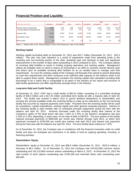# **Financial Position and Liquidity**

|                                                                                         |                 | 2012                |                |                 |                    | 2011                |                 |                 |
|-----------------------------------------------------------------------------------------|-----------------|---------------------|----------------|-----------------|--------------------|---------------------|-----------------|-----------------|
| \$ thousands, except ratios                                                             | DECEMBER 31     | <b>SEPTEMBER 30</b> | <b>JUNE 30</b> | <b>MARCH 31</b> | <b>DECEMBER 31</b> | <b>SEPTEMBER 30</b> | <b>JUNE 30</b>  | <b>MARCH31</b>  |
| Working capital (excluding debt) <sup>1</sup><br>Working capital (excluding debt) ratio | 10,683<br>1.8:1 | 9,105<br>1.8:1      | 2,389<br>1.2:1 | 18,622<br>2.3:1 | 22.414<br>3.4:1    | 16,332<br>2.4:1     | 10.201<br>2.7:1 | 22,578<br>4.0:1 |
| Long-term debt                                                                          | 41.841          | 37,987              | 32.115         | 44,304          | 47.941             | 56.827              | 56.331          | 29,863          |
| Shareholders' equity                                                                    | 96,465          | 97,272              | 98.474         | 101,568         | 102.624            | 94.389              | 91,178          | 94,002          |
| Debt to equity                                                                          | 0.4             | 0.4                 | 0.3            | 0.4             | 0.5                | 0.6                 | 0.6             | 0.3             |

*Notes 1 - Please refer to the "Reconciliation of Non-IFRS Measures" later in this MD&A.*

#### **Working Capital**

Working capital (excluding debt) at December 31, 2012 was \$10.7 million (December 31, 2011 - \$22.4 million). The year over year reduction is a result of repayments made from operating funds to the revolving and non-revolving portion of the debt, dividends paid and declared to date and significant improvements in the number of days sales outstanding in 2012 compared to 2011. The Company utilizes its revolving debt facilities to assist in funding ongoing operations and working capital. Management utilizes all available cash on hand to reduce its borrowings in an effort to minimize overall interest costs and draws upon its available revolving debt facilities on an as needed basis to manage cash flow requirements. As such the working capital of the Company will fluctuate from period to period depending on cash flow requirements and there continues to be sufficient debt capacity on the balance sheet to be able to support these needs. Management considers the working capital ratio calculated excluding debt borrowings to be a metric that is comparable to its peers in the industry as the nature and structure of debt facility agreements can differ significantly amongst those in the industry.

#### **Long-term Debt and Credit Facility**

At December 31, 2012, CWC had a credit facility of \$63.25 million consisting of a committed revolving facility of \$46.0 million and a \$17.25 million committed term facility all with a maturity date of April 30, 2014. The facility was revised in March 2012 to permit dividend distributions to shareholders and increase the amount available under the revolving facility to make up for reductions on the non-revolving facility that occurred as required payments were made. Proceeds from the revolving facility will be used for acquisitions, capital expenditures, working capital and other general corporate purposes. Interest on the revolving facility is paid monthly with no scheduled principal repayments during the term with the balance due April 30, 2014. Amounts borrowed under the revolving facility bear interest at the Company's option of the bank prime rate plus 1.25% to 2.75% or the banker's acceptance rate plus 2.25% to 3.75%, depending, in each case, on the ratio of debt to EBITDA. The term portion of the facility required principal payments of \$500,000 per month plus interest through April 2012, at which time payments increased to \$750,000 per month plus interest until April 2013 and interest only payments during the final year with the balance due April 30, 2014. The term facility bears interest at 7.42%.

As of December 31, 2012, the Company was in compliance with the financial covenants under its credit facility and does not anticipate any restrictions in its ability to fund its ongoing operating, investing, or financing activities.

#### **Shareholders' Equity**

Shareholders' equity at December 31, 2012 was \$96.5 million (December 31, 2011 - \$102.6 million), a decrease of \$6.2 million. As of December 31, 2012 the Company had 154,915,899 common shares outstanding and 155,115,909 common shares outstanding at March 5, 2013. At December 31, 2012 the total number of stock options outstanding was 9,530,348 and restricted share units outstanding were 660,000.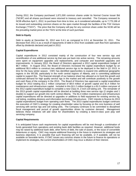During 2012, the Company purchased 1,871,500 common shares under its Normal Course Issuer Bid ("NCIB") and all shares purchased were returned to treasury and cancelled. The Company renewed its NCIB effective April 1, 2012, to purchase from time to time, as it considered advisable, up to 7,775,196 of its issued and outstanding common shares on the open market through the facilities of the TSX Venture Exchange ("TSXV"). The price that the Company will pay for any common share under the NCIB will be the prevailing market price on the TSXV at the time of such purchase.

### **Debt to Equity**

Debt to equity at December 31, 2012 was 0.4:1 as compared to 0.5:1 at December 31, 2011. The decrease from 2011 is as a result of repayments of debt in 2012 from available cash flow from operations offset by dividends declared and paid in 2012.

#### **Capital Expenditures**

Capital expenditures in 2012 consisted mainly of the construction of four new service rigs and recertification of one additional service rig that was put back into active service. The remaining amounts were spent on equipment upgrades and replacements, and computer and leasehold upgrades and improvements. In January 2012, the Board of Directors approved a 2012 capital expenditure budget of \$8.7 million. In August 2012, the Board of Directors increased the capital expenditure budget by an additional \$5.0 million to construct two additional service rigs to be deployed in the field in Q1 2013; in time for the busy winter season. CWC has identified opportunities to expand into additional geographic regions in the WCSB, particularly in the north central regions of Alberta, and is committing additional capital to support this. The financial strength of our balance sheet has allowed us to fund this growth and continued demand for high quality service rigs in the market and will contribute positively to the growth and cash flows of the company in the 2013. The Board of Directors has approved a capital expenditure budget for 2013 totaling \$11.2 million comprised of \$9.8 million of growth capital and \$1.4 million for maintenance and infrastructure capital. Included in this \$11.2 million budget is a \$1.5 million carryover of the 2012 capital expenditure budget to complete a new Class III, 2 inch coil tubing unit. The remainder of the 2013 growth capital expenditures will be directed at building three new service rigs (2 singles and 1 double) to support our growth into north central Alberta. The \$1.4 million maintenance and infrastructure capital expenditures will be directed at upgrades or additions to field equipment for existing service rig, coil tubing, snubbing divisions and information technology infrastructure. CWC intends to finance its 2013 capital expenditures budget from operating cash flows. The 2013 capital expenditures budget continues the execution of CWC's strategy for creating shareholder value by focusing on the core business of well servicing with service rigs and coil tubing units. The Company continues to be committed to disciplined fiscal management and pursuit of growth opportunities driven by customer demand. Management believes these initiatives will add value for shareholders by creating a best-in-class pure play well servicing company.

#### **Capital Requirements**

It is anticipated future cash requirements for capital expenditures will be met through a combination of funds generated from operations and existing bank debt facilities as required. However, additional funds may be raised by additional bank debt, other forms of debt, the sale of assets, or the issue of convertible debentures or equity. CWC may require additional financing in the future to implement its strategies and business objectives. It is possible that such financing will not be available, or if available, will not be available on favorable terms. If CWC issues any common shares in the future to finance its operations or implement its strategies, the current shareholders of CWC may incur a dilution of their interest.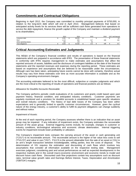# **Commitments and Contractual Obligations**

Beginning in April 2012, the Company was committed to monthly principal payments of \$750,000, in relation to the long-term debt which will end in April 2013. Management believes that based on anticipated activity levels for its services there will be sufficient cash flows generated from operations to service the debt repayment, finance the growth capital of the Company and maintain a dividend payment to its shareholders.

|                        | 2013  | 2014   | 2015 | 2016                     | 2017 and bevond |
|------------------------|-------|--------|------|--------------------------|-----------------|
| Long-term debt         | 2,351 | 39.525 |      | -                        | 24              |
| Rent                   | 1.115 | 920    | 517  | 188                      | 193             |
| Other operating leases | 180   | 149    | 56   | $\overline{\phantom{a}}$ |                 |
| Total obligations      | 3.645 | 40.594 | 573  | 188                      | 217             |

# **Critical Accounting Estimates and Judgments**

This MD&A of the Company's financial condition and results of operations is based on the financial statements which are prepared in accordance with IFRS. The presentation of these financial statements in conformity with IFRS requires management to make estimates and assumptions that affect the reported amounts of assets, liabilities and the disclosure of contingent liabilities at the date of the financial statements and the reported revenues and expenses during the reporting period. These estimates are based on experience and assumptions that are believed to be reasonable under the circumstances. Although care has been taken, anticipating future events cannot be done with certainty, therefore actual results may vary from these estimates over time as more accurate information is available and as the Company's operating environment changes.

The accounting estimates believed to be the most difficult, subjective or complex judgments and which are the most critical to the reporting of results of operations and financial positions are as follows:

#### *Allowance for Doubtful Accounts Receivable:*

The Company performs periodic credit evaluations of its customers and grants credit based upon past payment history, financial condition, and anticipated industry conditions. Customer payments are regularly monitored and a provision for doubtful accounts is established based upon specific situations and overall industry conditions. The history of bad debt losses of the Company has been within expectations and is generally limited to specific customer circumstances. However, given the cyclical nature of the energy industry, a customer's ability to fulfill its payment obligations can change suddenly and without notice.

#### *Impairment of Assets*:

At the end of each reporting period, the Company assesses whether there is an indication that an asset group may be impaired. If any indication of impairment exists, the Company estimates the recoverable amount of the asset group. External triggering events include, for example, changes in customer or industry conditions, technological advances and economic climate deterioration. Internal triggering events for impairment include lower profitability or utilization.

The Company's impairment tests compare the carrying amount of the asset or cash generating unit ("CGU") to its recoverable amount. The recoverable amount is the higher of fair value less costs to sell ("FVLCS") and value in use ("VIU"). FVLCS is the amount obtainable from the sale of an asset or CGU in an arm's length transaction between knowledgeable, willing parties, less the costs of disposal. The determination of VIU requires the estimation and discounting of cash flows which involves key assumptions that consider all information available on the respective testing date. Management exercises judgment, considering past and actual performances as well as expected developments in the respective markets and in the overall macro-economic environment and economic trends to model and discount future cash flows. Discounted cash flow projections contain key assumptions such as discount rates, terminal value growth rates and Earnings Before Interest, Taxes, Depreciation and Amortization ("EBITDA") margins.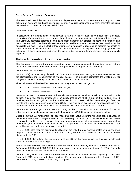#### *Depreciation of Property and Equipment*

The estimated useful life, residual value and depreciation methods chosen are the Company's best estimate of such and are based on industry norms, historical experience and other estimates including the period and distribution of future cash inflows.

#### *Deferred Income Taxes*

In calculating the income taxes, consideration is given to factors such as non-deductible expenses, recognition of deferred tax assets, changes in tax law and management's expectations of future results. The Company estimates deferred income taxes based on temporary differences between the income and the losses reported in the financial statements and its taxable income and losses as determined under the applicable tax laws. The tax effect of these temporary differences is recorded as deferred tax assets or liabilities in the financial statements. The calculation of income taxes requires the use of judgments and estimates. If these judgments and estimates prove to be inaccurate, future earnings may be materially impacted.

# **Future Accounting Pronouncements**

The Company has reviewed new and revised accounting pronouncements that have been issued but are not yet effective and determined that the following may have an impact on the Company.

#### *IFRS 9 Financial Instruments*

IFRS 9 (2009) replaces the guidance in IAS 39 *Financial Instruments: Recognition and Measurement,* on the classification and measurement of financial assets. The Standard eliminates the existing IAS 39 categories of held to maturity, available for sale and loans and receivables.

Financial assets will be classified into one of two categories on initial recognition:

- financial assets measured at amortized cost; or,
- financial assets measured at fair value

Gains and losses on remeasurement of financial assets measured at fair value will be recognized in profit or loss, except that for an investment in an equity instrument which is not held-for-trading, IFRS 9 provides, on initial recognition, an irrevocable election to present all fair value changes from the investment in other comprehensive income (OCI). The election is available on an individual share-byshare basis. Amounts presented in OCI will not be reclassified to profit or loss at a later date.

IFRS 9 (2010) added guidance to IFRS 9 (2009) on the classification and measurement of financial liabilities, and the guidance is consistent with the guidance in IAS 39 except as described below.

Under IFRS 9 (2010), for financial liabilities measured at fair value under the fair value option, changes in fair value attributable to changes in credit risk will be recognized in OCI, with the remainder of the change recognized in profit or loss. However, if this requirement creates or enlarges an accounting mismatch in profit or loss, the entire change in fair value will be recognized in profit or loss. Amounts presented in OCI will not be reclassified to profit or loss at a later date.

IFRS 9 (2010) also requires derivative liabilities that are linked to and must be settled by delivery of an unquoted equity instrument to be measured at fair value, whereas such derivative liabilities are measured at cost under IAS 39.

IFRS 9 (2010) also added the requirements of IAS 39 for the derecognition of financial assets and liabilities to IFRS 9 without change.

The IASB has deferred the mandatory effective date of the existing chapters of IFRS 9 *Financial Instruments* (2009) and IFRS 9 (2010) to annual periods beginning on or after January 1, 2015. The early adoption of either standard continues to be permitted.

IFRS 9 (2010) supersedes IFRS 9 (2009) and is effective for annual periods beginning on or after January 1, 2015, with early adoption permitted. For annual periods beginning before January 1, 2015, either IFRS 9 (2009) or IFRS 9 (2010) may be applied.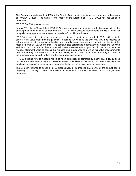The Company intends to adopt IFRS 9 (2010) in its financial statements for the annual period beginning on January 1, 2015. The extent of the impact of the adoption of IFRS 9 (2010) has not yet been determined.

#### *IFRS 13 Fair Value Measurement*

In May 2011 the IASB published IFRS 13 *Fair Value Measurement*, which is effective prospectively for annual periods beginning on or after January 1, 2013. The disclosure requirements of IFRS 13 need not be applied in comparative information for periods before initial application.

IFRS 13 replaces the fair value measurement guidance contained in individual IFRS's with a single source of fair value measurement guidance. It defines fair value as the price that would be received to sell an asset or paid to transfer a liability in an orderly transaction between market participants at the measurement date, i.e. an exit price. The standard also establishes a framework for measuring fair value and sets out disclosure requirements for fair value measurements to provide information that enables financial statement users to assess the methods and inputs used to develop fair value measurements and, for recurring fair value measurements that use significant unobservable inputs (Level 3), the effect of the measurements on profit or loss or other comprehensive income.

IFRS 13 explains 'how' to measure fair value when its required or permitted by other IFRS. IFRS 13 does not introduce new requirements to measure assets or liabilities at fair value, nor does it eliminate the practicability exceptions to fair value measurements that currently exist in certain standards.

The Company intends to adopt IFRS 13 prospectively in its financial statements for the annual period beginning on January 1, 2013. The extent of the impact of adoption of IFRS 13 has not yet been determined.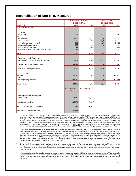# **Reconciliation of Non-IFRS Measures**

|                                                 |                     | <b>THREE MONTHS ENDED</b> | <b>YEAR ENDED</b> |                    |  |  |
|-------------------------------------------------|---------------------|---------------------------|-------------------|--------------------|--|--|
|                                                 |                     | <b>DECEMBER 31</b>        |                   | <b>DECEMBER 31</b> |  |  |
| \$thousands                                     | 2012                | 2011                      | 2012              | 2011               |  |  |
| <b>NON-IFRS MEASURES</b>                        |                     |                           |                   |                    |  |  |
|                                                 |                     |                           |                   |                    |  |  |
| <b>EBITDAS:</b>                                 |                     |                           |                   |                    |  |  |
| Net income                                      | 1,729               | 7,115                     | 4,783             | 12,690             |  |  |
| Add:                                            |                     |                           |                   |                    |  |  |
| Depreciation                                    | 3,665               | 3,773                     | 14,260            | 13,871             |  |  |
| Finance costs                                   | 755                 | 990                       | 2,948             | 3,514              |  |  |
| Income tax expense (recovery)                   | 581                 |                           | 1,987             | (1,072)            |  |  |
| Stock based compensation                        | 229                 | 150                       | 833               | 801                |  |  |
| Loss on sale of equipment                       | 74                  | (1, 398)                  | 216               | (1,346)            |  |  |
| Unrealized (gain) loss on marketable securities | 17                  |                           | 22                | 23                 |  |  |
| <b>EBITDAS</b>                                  | 7,050               | 10,630                    | 25,049            | 28,481             |  |  |
|                                                 |                     |                           |                   |                    |  |  |
| Funds from (used in) operations:                |                     |                           |                   |                    |  |  |
| Cash flows from (used in) operating activities  | 3,731               | 5,805                     | 32,715            | 21,116             |  |  |
| Less:                                           |                     |                           |                   |                    |  |  |
| Change in non-cash working capital              | (3, 319)            | (4,825)                   | (7,669)           | 7,360              |  |  |
| Funds from (used in) operations:                | 7,050               | 10,630                    | 25,046            | 28,476             |  |  |
|                                                 |                     |                           |                   |                    |  |  |
| Gross margin:                                   |                     |                           |                   |                    |  |  |
| Revenue<br>Less:                                | 29,396              | 35,987                    | 112,332           | 109,502            |  |  |
| Direct operating expenses                       | (18, 748)           | (21, 663)                 | (73, 210)         | (67, 669)          |  |  |
|                                                 |                     |                           |                   |                    |  |  |
| Gross margin                                    | 10,648              | 14,324                    | 39,122            | 41,833             |  |  |
|                                                 |                     |                           |                   |                    |  |  |
|                                                 | <b>DECEMBER 31,</b> | <b>DECEMBER 31,</b>       |                   |                    |  |  |
|                                                 | 2012                | 2011                      |                   |                    |  |  |
| <sup>4</sup> Working capital (excluding debt):  |                     |                           |                   |                    |  |  |
| <b>Current Assets</b>                           | 24,142              | 31,623                    |                   |                    |  |  |
|                                                 |                     |                           |                   |                    |  |  |
| Less: Current Liabilities                       | (15, 881)           | (17,586)                  |                   |                    |  |  |
| Add: Current portion of long-term debt          | 2,422               | 8,377                     |                   |                    |  |  |
|                                                 |                     |                           |                   |                    |  |  |
| Working capital (excluding debt)                | 10,683              | 22,414                    |                   |                    |  |  |

1. *EBITDAS (Earnings before interest, taxes, depreciation, amortization, gain/loss on disposal of asset, unrealized gain/loss on marketable*  securities, finance costs and stock based compensation) is not recognized measures under IFRS. Management believes that in addition to net *earnings, EBITDAS is a useful supplemental measure as it provides an indication of the Company's ability to generate cash flow in order to fund working capital, service debt, pay current income taxes, and fund capital programs. Investors should be cautioned, however, that EBITDAS should not be construed as an alternative to net income (loss) and comprehensive income (loss) determined in accordance with IFRS as an*  indicator of the Company's performance. CWC's method of calculating EBITDAS may differ from other entities and accordingly, EBITDAS may *not be comparable to measures used by other entities. For a reconciliation of EBITDAS to net income (loss) and comprehensive income (loss).* 

2. *Funds from operations and funds from operations per share are not recognized measures under IFRS. Management believes that in addition to*  cash flow from operations, funds from operations is a useful supplemental measure as it provides an indication of the cash flow generated by the *Company's principal business activities prior to consideration of changes in working capital. Investors should be cautioned, however, that funds from operations should not be construed as an alternative to cash flow from operations determined in accordance with IFRS as an indicator of the Company's performance. CWC's method of calculating funds from operations may differ from other entities and accordingly, funds from operations may not be comparable to measures used by other entities. Funds from operations is equal to cash flow from operations before changes in non-cash working capital items related to operations.*

*3. Gross margin is calculated from the statement of comprehensive income (loss) as Revenue less direct operating costs and is used to assist management and investors in assessing the Company's financial results from operations excluding fixed overhead costs. Gross margin is a non-IFRS measure and does not have any standardized meaning prescribed by IFRS and may not be comparable to similar measures provided by other companies.* 

*4. Working capital (excluding debt) is calculated based on current assets less current liabilities excluding the current portion of long-term debt. Working capital is used to assist management and investors in assessing the Company's liquidity and its' ability to generated funds. Working*  capital (excluding debt) does not have any meaning prescribed under IFRS and may not be comparable to similar measures provided by other *companies.*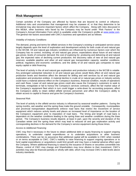# **Risk Management**

Certain activities of the Company are affected by factors that are beyond its control or influence. Additional risks and uncertainties that management may be unaware of, or that they determine to be immaterial may also become important factors which affect the Company. Along with risks discussed in this MD&A, other business risks faced by the Company may be found under "Risk Factors" in the Company's Annual Information Form which is available under the Company's profile at [www.sedar.com.](http://www.sedar.com/) The general risk factors associated with CWC's business and operations are as follows:

#### *Volatility of Industry Conditions*

The demand, pricing and terms for oilfield services in the Company's existing or anticipated service areas largely depends upon the level of exploration and development activity for both crude oil and natural gas in the WCSB. Oil and natural gas industry conditions are influenced by numerous factors over which the Company has no control, including: oil and natural gas prices; expectations about future oil and natural gas prices; levels of consumer demand; the cost of exploring for, producing and delivering oil and natural gas; the expected rates of declining current production; the discovery rates of new oil and natural gas reserves; available pipeline and other oil and natural gas transportation capacity; weather conditions; political, regulatory and economic conditions; and the ability of oil and natural gas companies to raise equity capital or debt financing.

The level of activity in the oil and natural gas exploration and production industry in the WCSB is volatile. Any prolonged substantial reduction in oil and natural gas prices would likely affect oil and natural gas production levels and therefore affect the demand for drilling and well services by oil and natural gas exploration and production entities. A material decline in crude oil or natural gas prices or industry activity could have a material adverse effect on the Company's business, financial condition, results of operations and cash flows. Lower oil and natural gas prices could also cause the Company's customers to seek to terminate, renegotiate or fail to honour the Company's services contracts; affect the fair market value of the Company's equipment fleet which in turn could trigger a write-down for accounting purposes; affect the Company's ability to retain skilled oilfield services personnel; and affect the Company's ability to obtain access to capital to finance and grow the Company's business.

#### *Seasonal Risk*:

The level of activity in the oilfield service industry is influenced by seasonal weather patterns. During the spring months, wet weather and the spring thaw make the ground unstable. Consequently, municipalities and provincial transportation departments enforce road bans that restrict the movement of service equipment which reduces activity levels and places an increased level of importance on the location of the Company's equipment prior to imposition of road bans. The timing and length of road bans is dependent on the weather conditions leading to the spring thaw and weather conditions during the thaw period. The Company's business results depend, at least in part, upon the severity and duration of the Canadian winter and the spring thaw which may lead to reduced oil and gas exploration activity and corresponding declines in the demand for the Company's service equipment during those times.

#### *Access to Additional Financing*

CWC may find it necessary in the future to obtain additional debt or equity financing to support ongoing operations, to undertake capital expenditures or to undertake acquisitions or other business combinations. There can be no assurance that additional capital will be available to CWC when needed or on terms acceptable to CWC. CWC's inability to raise financing to support ongoing operations or to fund capital expenditures or acquisitions could limit growth and may have a material adverse effect upon the Company. Where additional financing is raised by the issuance of Shares or securities convertible into Shares, control of CWC may change and Shareholders may incur dilution to their investment. CWC's activities may also be financed partially or wholly with debt, which may increase CWC's debt levels above industry standards.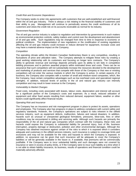#### *Credit Risk and Economic Dependence*

The Company seeks to enter into agreements with customers that are well-established and well-financed within the oil and gas industry. There is always a risk relating to the financial stability of customers and their ability to pay. Management will continue to periodically assess the credit worthiness of all its customers and views the credit risk on its accounts receivable as normal for its industry.

#### *Government Regulation*

The oil and gas service industry is subject to regulation and intervention by governments in such matters as environmental protection controls, safety matters and control over the development and abandonment of oil and gas wells. Such regulations may be changed from time to time in response to economic or political conditions. The implementation of new regulations or the modification of existing regulations affecting the oil and gas industry could increase or reduce demand for equipment, increase costs and may have a material adverse impact on the Company.

#### *Competition*

The operating climate within the Western Canadian Sedimentary Basin is very competitive, resulting in fluctuations of price and utilization rates. The Company attempts to mitigate these risks by creating a good working relationship with its customers and focusing on longer term contracts. The Company's ability to generate revenue and earnings depends primarily upon its ability to win bids in competitive bidding processes and to perform awarded projects within estimated times and costs. There can be no assurance that such competitors will not substantially increase the resources devoted to the development and marketing of products and services that compete with those of the Company or that new or existing competitors will not enter the various markets in which the Company is active. In certain aspects of its business, the Company also competes with a number of small and medium-sized companies, which, like the Company, have certain competitive advantages such as low overhead costs and specialized regional strengths. In addition, reduced levels of activity in the oil and natural gas industry can intensify competition and may result in lower revenue to the Company.

#### *Vulnerability to Market Changes*

Fixed costs, including costs associated with leases, labour costs, depreciation and interest will account for a significant portion of the Company's costs and expenses. As a result, reduced utilization of equipment and other fixed assets resulting from reduced demand, equipment failure, weather or other factors could significantly affect financial results.

#### *Operating Risk and Insurance*

The Company has an insurance and risk management program in place to protect its assets, operations and employees. The Company also has programs in place to address compliance with current safety and regulatory standards. However, the Company's operations are subject to risks inherent in the oilfield services industry, such as equipment defects, malfunction, failures and natural disasters. In addition, hazards such as unusual or unexpected geological formations, pressures, blow-outs, fires or other conditions may be encountered in drilling and servicing wells. Although such hazards are primarily the responsibility of the oil and natural gas companies which contract with the Company, these risks and hazards could expose the Company to substantial liability for personal injury, loss of life, business interruption, property damage or destruction, pollution and other environmental damages. Although the Company has obtained insurance against certain of the risks to which it is exposed which it considers adequate and customary in the oilfield services industry, such insurance is subject to coverage limits and exclusions and may not be available for the risks and hazards to which the Company is exposed. In addition, no assurance can be given that such insurance will be adequate to cover the Company's liabilities or will be generally available in the future or, if available, that premiums will be commercially justifiable. If the Company were to incur substantial liability and such damages were not covered by insurance or were in excess of policy limits, or if the Company were to incur such liability at a time when it is not able to obtain liability insurance, its business, results of operations and financial condition could be materially adversely affected.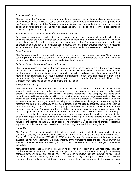#### *Reliance on Personnel*

The success of the Company is dependent upon its management, technical and field personnel. Any loss of the services of such individuals could have a material adverse effect on the business and operations of the Company. The ability of the Company to expand its services is dependent upon its ability to attract additional qualified employees. The ability to secure the services of additional personnel is constrained in times of strong industry activity.

#### *Alternatives to and Changing Demand for Petroleum Products*

Fuel conservation measures, alternative fuel requirements, increasing consumer demand for alternatives to oil and natural gas, and technological advances in fuel economy and energy generation devices could reduce the demand for crude oil and other liquid hydrocarbons. The Company cannot predict the impact of changing demand for oil and natural gas products, and any major changes may have a material adverse effect on the Company's business, financial condition, results of operations and cash flows.

#### *Legal Proceedings*

The Company is involved in litigation from time to time in the ordinary course of business. No assurance can be given as to the final outcome of any legal proceedings or that the ultimate resolution of any legal proceedings will not have a material adverse effect on the Company.

#### *Failure to Realize Anticipated Benefits of Acquisitions*

The Company makes acquisitions of businesses and assets in the ordinary course of business. Achieving the benefits of acquisitions depends in part on successfully consolidating functions, retaining key employees and customer relationships and integrating operations and procedures in a timely and efficient manner. Such integration may require substantial management effort, time and resources, may divert management's focus from other strategic opportunities and operational matters and ultimately the Company may fail to realize anticipated benefits of acquisitions.

#### *Environmental Liability*

The Company is subject to various environmental laws and regulations enacted in the jurisdictions in which it operates which govern the manufacture, processing, importation, transportation, handling and disposal of certain materials used in the Company's operations. The Company has established procedures to address compliance with current environmental laws and regulations and monitors its practices concerning the handling of environmentally hazardous materials. However, there can be no assurance that the Company's procedures will prevent environmental damage occurring from spills of materials handled by the Company or that such damage has not already occurred. Substantial liabilities to third parties may be incurred. The Company may have the benefit of insurance maintained by it or the operator; however the Company may become liable for damages against which it cannot adequately insure or against which it may elect not to insure because of high costs or other reasons. The Company's customers are subject to similar environmental laws and regulations, as well as limits on emissions to the air and discharges into surface and sub-surface waters. While regulatory developments that may follow in subsequent years could have the effect of reducing industry activity, the Company cannot predict the nature of the restrictions that may be imposed. The Company may be required to increase operating expenses or capital expenditures in order to comply with any new restrictions or regulations.

#### *Credit Risk*

The Company's exposure to credit risk is influenced mainly by the individual characteristics of each customer, however, management also considers the demographics of the Company's customer base. During 2012, approximately 26% (2011: 20%) of the Company's revenue was attributable to sales transactions with two customers. Currently, majority of the Company's sales are concentrated within the Western Canadian Sedimentary Basin ("WCSB"). This concentration is common amongst companies in the industry.

Management established a credit policy under which each new customer is analyzed individually for creditworthiness before the Company begins to provide services to the customer and prior to offering standard payment terms and conditions. The Company's review includes external ratings, when available, as well as contacting credit references and evaluating banking information provided by the customer. Purchase limits are established for each new customer, which represents the maximum open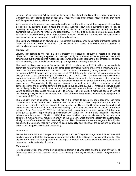amount. Customers that fail to meet the Company's benchmark creditworthiness may transact with Company only after providing cash deposit of at least 30% of the credit amount requested until they have sufficient payment history with the Company.

Accounts receivable balances are reviewed monthly for credit worthiness and days to pay is calculated on a customer by customer basis. Should the monthly analysis show that a customer's days to pay is beginning to lengthen the customer is contacted to discuss and when necessary, added to a list of customers the Company no longer views creditworthy. New and high risk customers are contacted after 30 days from invoice date if payment has not been received. Finally, the Company will lien a customer's location where the services were provided if deemed necessary.

The Company establishes an allowance for impairment that represents its estimate of incurred losses in respect of trade and other receivables. The allowance is a specific loss component that relates to individually significant exposures.

#### *Liquidity Risk*

Liquidity risk relates to the risk that the Company will encounter difficulty in meeting its financial obligations. The Company's approach to manage liquidity is to ensure, as far as possible, that it will always have sufficient liquidity to meet its liabilities when due, under both normal and stressed conditions, without incurring unacceptable losses or risking damage to the Company's reputation.

The credit facilities available at December 31, 2012, consisted of a \$17.25 million non-extendable committed non-revolving facility and a non-extendable committed revolving facility to a maximum of \$46 million with a maturity date of April 30, 2014. The committed non-revolving facility is subject to principal payments of \$750 thousand plus interest until April 2013, followed by payments of interest only in the third year with a final payment of \$14.25 million due on April 30, 2014. The non-revolving facility bears interest at fixed rate of 7.42%. The \$46 million revolving portion of the facility consists of a swing line facility to a maximum of \$5 million with the remainder consisting of prime based loans and bankers acceptances. The revolving facility requires interest to be paid monthly with no scheduled principal payments during the committed term with the balance due on April 30, 2014. Amounts borrowed under the revolving facility will bear interest at the Company's option of the bank's prime rate plus 1.25% to 2.75% or banker's acceptance rate plus 2.25% to 3.75%. The total facility is margined based on 75% of the Company's eligible accounts receivable and 60% of the net book value of Property and Equipment to a maximum of \$70.5 million.

The Company may be exposed to liquidity risk if it is unable to collect its trade accounts receivable balances in a timely manner which could in turn impact the Company's long-term ability to meet its commitments under the facilities. In order to manage this liquidity risk, the Company actively monitors all accounts receivable to maintain accounts outstanding over 60 days to less than 25 percent of the total balance. As at December 31, 2012, the balance of trade accounts receivable in excess of 90 days was \$489 (2011: \$1,185), representing approximately 2% (2011: 4%) of the trade accounts receivable balance, of this amount \$127 (2011: \$170) has been provided for as an allowance for bad debts. A structure is maintained that focuses on growth of the Company while ensuring viability for stakeholders. Finally, in an effort to combat the seasonality of the oilfield business and reduce long-term liquidity risk exposure, the Company regularly reviews its cash availability and whenever the conditions permit, the excess cash is applied to the debt outstanding.

#### *Market Risk*

Market risk is the risk that changes in market prices, such as foreign exchange rates, interest rates and equity prices will affect the Company's income or the value of its holdings of financial instruments. The objective of market risk management is to manage and control market risk exposures within acceptable parameters, while optimizing the return.

#### *Currency risk*

Foreign currency risk arises from the fluctuations n foreign exchange rates and the degree of volatility of these rates relative to the Canadian dollar. The Company is not significantly exposed to foreign currency risk.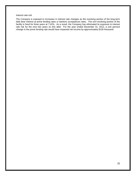#### *Interest rate risk*

The Company is exposed to increases in interest rate changes as the revolving portion of the long-term debt bear interest at prime lending rates or bankers acceptances rates. The non-revolving portion of the facility is fixed for three years at 7.42%. As a result, the Company has eliminated its exposure to interest rate risk for the next two years on this debt. For the year ended December 31, 2012, a one percent change in the prime lending rate would have impacted net income by approximately \$135 thousand.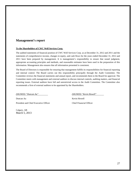# **Management's report**

#### **To the Shareholders of CWC Well Services Corp.**

The audited statements of financial position of CWC Well Services Corp. as at December 31, 2012 and 2011 and the statements of comprehensive income, changes in equity, and cash flows for the years ended December 31, 2012 and 2011 have been prepared by management. It is management's responsibility to ensure that sound judgment, appropriate accounting principles and methods, and reasonable estimates have been used in the preparation of this information. Management also ensures that all information presented is consistent.

The Board of Directors is responsible for ensuring that management fulfills its responsibilities for financial reporting and internal control. The Board carries out this responsibility principally through the Audit Committee. The Committee reviews the financial statements and annual report, and recommends them to the Board for approval. The Committee meets with management and external auditors to discuss internal controls, auditing matters, and financial reporting issues. External auditors have full and unrestricted access to the Audit Committee. The Committee also recommends a firm of external auditors to be appointed by the Shareholders.

Duncan Au Kevin Howell President and Chief Executive Officer Chief Financial Officer

Calgary, AB March 5, 2013

*(SIGNED) "Duncan Au" (SIGNED) "Kevin Howell"*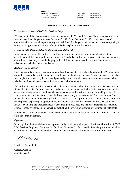

**KPMG LLP Chartered Accountants** Telephone (403) 691-8000 2700-205 5 Avenue SW Telefax (403) 691-8008 Calgary AB T2P 4B9 Internet www.kpmg.ca

### **INDEPENDENT AUDITORS' REPORT**

To the Shareholders of CWC Well Services Corp.

We have audited the accompanying financial statements of CWC Well Services Corp., which comprise the statements of financial position as at December 31, 2012 and December 31, 2011, the statements of comprehensive income, changes in equity and cash flows for the years then ended, and notes, comprising a summary of significant accounting policies and other explanatory information.

### *Management's Responsibility for the Financial Statements*

Management is responsible for the preparation and fair presentation of these financial statements in accordance with International Financial Reporting Standards, and for such internal control as management determines is necessary to enable the preparation of financial statements that are free from material misstatement, whether due to fraud or error.

#### *Auditors' Responsibility*

Our responsibility is to express an opinion on these financial statements based on our audits. We conducted our audits in accordance with Canadian generally accepted auditing standards. Those standards require that we comply with ethical requirements and plan and perform the audit to obtain reasonable assurance about whether the financial statements are free from material misstatement.

An audit involves performing procedures to obtain audit evidence about the amounts and disclosures in the financial statements. The procedures selected depend on our judgment, including the assessment of the risks of material misstatement of the financial statements, whether due to fraud or error. In making those risk assessments, we consider internal control relevant to the entity's preparation and fair presentation of the financial statements in order to design audit procedures that are appropriate in the circumstances, but not for the purpose of expressing an opinion on the effectiveness of the entity's internal control. An audit also includes evaluating the appropriateness of accounting policies used and the reasonableness of accounting estimates made by management, as well as evaluating the overall presentation of the financial statements.

We believe that the audit evidence we have obtained in our audits is sufficient and appropriate to provide a basis for our audit opinion.

#### *Opinion*

In our opinion, the financial statements present fairly, in all material respects, the financial position of CWC Well Services Corp. as at December 31, 2012 and December 31, 2011, and its financial performance and its cash flows for the years then ended in accordance with International Financial Reporting Standards.

KPMGLF

Chartered Accountants

Calgary, Canada March 5, 2013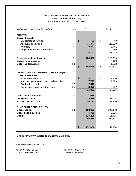#### **STATEMENT OF FINANCIAL POSITION CWC Well Services Corp.**

*As at December 31, 2012 and 2011*

| in thousands of Canadian dollars            | <b>Note</b>    | 2012          |                          | 2011      |
|---------------------------------------------|----------------|---------------|--------------------------|-----------|
|                                             |                |               |                          |           |
| <b>ASSETS</b>                               |                |               |                          |           |
| <b>Current assets</b>                       |                |               |                          |           |
| Marketable securities                       |                | \$<br>22      | \$                       | 43        |
| Accounts receivable                         | $\overline{7}$ | 21,382        |                          | 28,850    |
| Inventory                                   | 8              | 2,537         |                          | 2,441     |
| Prepaid expenses and deposits               |                | 201           |                          | 289       |
|                                             |                | 24,142        |                          | 31,623    |
|                                             |                |               |                          |           |
| <b>Property and equipment</b>               | 9              | 128,538       |                          | 126,919   |
| Loans to employees                          |                |               |                          | 160       |
| <b>Deferred tax asset</b>                   | 10             |               |                          | 1,072     |
|                                             |                | \$<br>152,680 | $\overline{\mathcal{S}}$ | 159,774   |
|                                             |                |               |                          |           |
| <b>LIABILITIES AND SHAREHOLDERS' EQUITY</b> |                |               |                          |           |
| <b>Current liabilities</b>                  |                |               |                          |           |
| <b>Bank indebtedness</b>                    | 11             | \$<br>3,163   | \$                       | 1,810     |
| Accounts payable and accrued liabilities    |                | 7,779         |                          | 7,399     |
| Dividends payable                           | 12             | 2,517         |                          |           |
| Current portion of long-term debt           | 11             | 2,422         |                          | 8,377     |
|                                             |                | 15,881        |                          | 17,586    |
|                                             |                |               |                          |           |
| <b>Deferred tax liability</b>               | 10             | 915           |                          |           |
| Long-term debt                              | 11             | 39,419        |                          | 39,564    |
| <b>TOTAL LIABILITIES</b>                    |                | 56,215        |                          | 57,150    |
|                                             |                |               |                          |           |
| <b>SHAREHOLDERS' EQUITY</b>                 |                |               |                          |           |
| <b>Share capital</b>                        | 13             | 108,001       |                          | 109,143   |
| <b>Contributed surplus</b>                  |                | 5,762         |                          | 5,236     |
| <b>Deficit</b>                              |                | (17, 298)     |                          | (11, 755) |
|                                             |                | 96,465        |                          | 102,624   |
|                                             |                |               |                          |           |
|                                             |                | \$<br>152,680 | \$                       | 159,774   |

*See accompanying notes to financial statements.*

Approved on behalf of the board:

*(SIGNED) "Gary Bentham" (SIGNED) "Duncan Au"* Gary Bentham, Director **Duncan Au, Director** Duncan Au, Director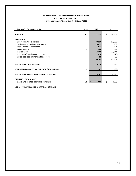### **STATEMENT OF COMPREHENSIVE INCOME**

**CWC Well Services Corp.**

*For the years ended December 31, 2012 and 2011*

| in thousands of Canadian dollars                                  | <b>Note</b> | 2012      | 2011          |
|-------------------------------------------------------------------|-------------|-----------|---------------|
| <b>REVENUE</b>                                                    | 6           | 112,332   | \$<br>109,502 |
| <b>EXPENSES</b>                                                   |             |           |               |
| Direct operating expenses                                         |             | 73,210    | 67,669        |
| Selling and administrative expenses                               |             | 14,073    | 13,352        |
| Stock based compensation                                          | 15          | 833       | 801           |
| Finance costs                                                     | 20          | 2,948     | 3,514         |
| Depreciation                                                      |             | 14,260    | 13,871        |
| Loss (Gain) on disposal of equipment                              |             | 216       | (1, 346)      |
| Unrealized loss on marketable securities                          |             | 22        | 23            |
|                                                                   |             | 105,562   | 97,884        |
| <b>NET INCOME BEFORE TAXES</b>                                    |             | 6,770     | 11,618        |
| DEFERRED INCOME TAX EXPENSE (RECOVERY)                            | 10          | 1,987     | (1,072)       |
| <b>NET INCOME AND COMPREHENSIVE INCOME</b>                        |             | 4,783     | 12,690        |
| <b>EARNINGS PER SHARE</b><br>Basic and diluted earnings per share | 14          | 0.03<br>S | \$<br>0.08    |

*See accompanying notes to financial statements.*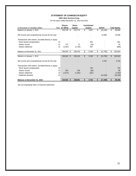#### **STATEMENT OF CHANGES IN EQUITY**

**CWC Well Services Corp.**

*For the years ended December 31, 2012 and 2011*

|                                                       |      | <b>Shares</b> |                | <b>Share</b> |              | <b>Contributed</b> |                 |                     |
|-------------------------------------------------------|------|---------------|----------------|--------------|--------------|--------------------|-----------------|---------------------|
| in thousands of Canadian dollars                      | Note | (in 000's)    |                | Capital      |              | surplus            | <b>Deficit</b>  | <b>Total Equity</b> |
| Balance at January 1, 2011                            |      | 158,739       | \$             | 110,774      | \$           | 3,657              | \$<br>(24, 445) | \$<br>89,986        |
| Net income and comprehensive income for the year      |      |               |                |              |              |                    | 12,690          | 12,690              |
| Transactions with owners, recorded directly in equity |      |               |                |              |              |                    |                 |                     |
| Stock based compensation                              | 15   |               |                |              |              | 801                |                 | 801                 |
| Shares issued                                         | 13   | 172           |                | 72           |              | (29)               |                 | 43                  |
| Shares redeemed                                       | 13   | (2, 467)      |                | (1,703)      |              | 807                |                 | (896)               |
| Balance at December 31, 2011                          |      | 156,444       | \$             | 109,143      | \$           | 5,236              | \$<br>(11, 755) | \$<br>102,624       |
| Balance at January 1, 2012                            |      | 156,444       | $\mathfrak{S}$ | 109,143      | $\mathbb{S}$ | 5,236              | \$<br>(11, 755) | \$<br>102,624       |
| Net income and comprehensive income for the year      |      |               |                |              |              |                    | 4,783           | 4,783               |
| Transactions with owners, recorded directly in equity |      |               |                |              |              |                    |                 |                     |
| Stock based compensation                              | 15   |               |                |              |              | 750                |                 | 750                 |
| Shares issued                                         | 13   | 343           |                | 149          |              | (63)               |                 | 86                  |
| Shares redeemed                                       | 13   | (1,871)       |                | (1,291)      |              | (161)              |                 | (1, 452)            |
| Dividends declared                                    | 12   |               |                |              |              |                    | (10, 326)       | (10, 326)           |
| Balance at December 31, 2012                          |      | 154,916       | S              | 108,001      | \$           | 5,762              | \$<br>(17, 298) | \$<br>96,465        |

*See accompanying notes to financial statements.*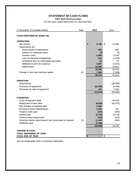# **STATEMENT OF CASH FLOWS**

**CWC Well Services Corp.**

*For the years ended December 31, 2012 and 2011*

| <b>CASH PROVIDED BY (USED IN):</b><br><b>OPERATING:</b><br>\$<br>Net income<br>4,783<br>\$<br>12,690<br>Adjustments for:<br>Stock based compensation<br>833<br>801<br>Interest on employee loans<br>(3)<br>(5)<br>Finance costs<br>2,948<br>3,514<br>Loss on disposal of equipment<br>216<br>(1, 346)<br>Unrealized loss on marketable securities<br>22<br>23<br>Deferred income tax expense<br>1,987<br>(1,072)<br>14,260<br>Depreciation<br>13,871<br>25,046<br>28,476<br>21<br>7,669<br>Change in non-cash working capital<br>(7,360)<br>32,715<br>21,116<br><b>INVESTING:</b><br>Acquisitions<br>(38,000)<br>Purchase of equipment<br>(16, 350)<br>(4, 436)<br>Proceeds on sale of equipment<br>474<br>7,044<br>(15, 876)<br>(35, 392)<br><b>FINANCING:</b><br>Issue of long-term debt<br>60,000<br>Repayment of term debt<br>(8, 250)<br>(41, 975)<br>Net increase of revolving debt<br>2,000<br>Increase in bank indebtedness<br>431<br>1,353<br>Finance costs paid<br>(143)<br>(489)<br>Interest paid<br>(2,731)<br>(3, 114)<br>Finance lease repayments<br>(145)<br>(143)<br>(434)<br>Common shares repurchased, net of proceeds on options<br>13<br>(1, 367)<br>(7, 556)<br>Dividends paid<br>(16, 839)<br>14,276 | in thousands of Canadian dollars | Note | 2012 | 2011 |  |
|----------------------------------------------------------------------------------------------------------------------------------------------------------------------------------------------------------------------------------------------------------------------------------------------------------------------------------------------------------------------------------------------------------------------------------------------------------------------------------------------------------------------------------------------------------------------------------------------------------------------------------------------------------------------------------------------------------------------------------------------------------------------------------------------------------------------------------------------------------------------------------------------------------------------------------------------------------------------------------------------------------------------------------------------------------------------------------------------------------------------------------------------------------------------------------------------------------------------------|----------------------------------|------|------|------|--|
|                                                                                                                                                                                                                                                                                                                                                                                                                                                                                                                                                                                                                                                                                                                                                                                                                                                                                                                                                                                                                                                                                                                                                                                                                            |                                  |      |      |      |  |
|                                                                                                                                                                                                                                                                                                                                                                                                                                                                                                                                                                                                                                                                                                                                                                                                                                                                                                                                                                                                                                                                                                                                                                                                                            |                                  |      |      |      |  |
|                                                                                                                                                                                                                                                                                                                                                                                                                                                                                                                                                                                                                                                                                                                                                                                                                                                                                                                                                                                                                                                                                                                                                                                                                            |                                  |      |      |      |  |
|                                                                                                                                                                                                                                                                                                                                                                                                                                                                                                                                                                                                                                                                                                                                                                                                                                                                                                                                                                                                                                                                                                                                                                                                                            |                                  |      |      |      |  |
|                                                                                                                                                                                                                                                                                                                                                                                                                                                                                                                                                                                                                                                                                                                                                                                                                                                                                                                                                                                                                                                                                                                                                                                                                            |                                  |      |      |      |  |
|                                                                                                                                                                                                                                                                                                                                                                                                                                                                                                                                                                                                                                                                                                                                                                                                                                                                                                                                                                                                                                                                                                                                                                                                                            |                                  |      |      |      |  |
|                                                                                                                                                                                                                                                                                                                                                                                                                                                                                                                                                                                                                                                                                                                                                                                                                                                                                                                                                                                                                                                                                                                                                                                                                            |                                  |      |      |      |  |
|                                                                                                                                                                                                                                                                                                                                                                                                                                                                                                                                                                                                                                                                                                                                                                                                                                                                                                                                                                                                                                                                                                                                                                                                                            |                                  |      |      |      |  |
|                                                                                                                                                                                                                                                                                                                                                                                                                                                                                                                                                                                                                                                                                                                                                                                                                                                                                                                                                                                                                                                                                                                                                                                                                            |                                  |      |      |      |  |
|                                                                                                                                                                                                                                                                                                                                                                                                                                                                                                                                                                                                                                                                                                                                                                                                                                                                                                                                                                                                                                                                                                                                                                                                                            |                                  |      |      |      |  |
|                                                                                                                                                                                                                                                                                                                                                                                                                                                                                                                                                                                                                                                                                                                                                                                                                                                                                                                                                                                                                                                                                                                                                                                                                            |                                  |      |      |      |  |
|                                                                                                                                                                                                                                                                                                                                                                                                                                                                                                                                                                                                                                                                                                                                                                                                                                                                                                                                                                                                                                                                                                                                                                                                                            |                                  |      |      |      |  |
|                                                                                                                                                                                                                                                                                                                                                                                                                                                                                                                                                                                                                                                                                                                                                                                                                                                                                                                                                                                                                                                                                                                                                                                                                            |                                  |      |      |      |  |
|                                                                                                                                                                                                                                                                                                                                                                                                                                                                                                                                                                                                                                                                                                                                                                                                                                                                                                                                                                                                                                                                                                                                                                                                                            |                                  |      |      |      |  |
|                                                                                                                                                                                                                                                                                                                                                                                                                                                                                                                                                                                                                                                                                                                                                                                                                                                                                                                                                                                                                                                                                                                                                                                                                            |                                  |      |      |      |  |
|                                                                                                                                                                                                                                                                                                                                                                                                                                                                                                                                                                                                                                                                                                                                                                                                                                                                                                                                                                                                                                                                                                                                                                                                                            |                                  |      |      |      |  |
|                                                                                                                                                                                                                                                                                                                                                                                                                                                                                                                                                                                                                                                                                                                                                                                                                                                                                                                                                                                                                                                                                                                                                                                                                            |                                  |      |      |      |  |
|                                                                                                                                                                                                                                                                                                                                                                                                                                                                                                                                                                                                                                                                                                                                                                                                                                                                                                                                                                                                                                                                                                                                                                                                                            |                                  |      |      |      |  |
|                                                                                                                                                                                                                                                                                                                                                                                                                                                                                                                                                                                                                                                                                                                                                                                                                                                                                                                                                                                                                                                                                                                                                                                                                            |                                  |      |      |      |  |
|                                                                                                                                                                                                                                                                                                                                                                                                                                                                                                                                                                                                                                                                                                                                                                                                                                                                                                                                                                                                                                                                                                                                                                                                                            |                                  |      |      |      |  |
|                                                                                                                                                                                                                                                                                                                                                                                                                                                                                                                                                                                                                                                                                                                                                                                                                                                                                                                                                                                                                                                                                                                                                                                                                            |                                  |      |      |      |  |
|                                                                                                                                                                                                                                                                                                                                                                                                                                                                                                                                                                                                                                                                                                                                                                                                                                                                                                                                                                                                                                                                                                                                                                                                                            |                                  |      |      |      |  |
|                                                                                                                                                                                                                                                                                                                                                                                                                                                                                                                                                                                                                                                                                                                                                                                                                                                                                                                                                                                                                                                                                                                                                                                                                            |                                  |      |      |      |  |
|                                                                                                                                                                                                                                                                                                                                                                                                                                                                                                                                                                                                                                                                                                                                                                                                                                                                                                                                                                                                                                                                                                                                                                                                                            |                                  |      |      |      |  |
|                                                                                                                                                                                                                                                                                                                                                                                                                                                                                                                                                                                                                                                                                                                                                                                                                                                                                                                                                                                                                                                                                                                                                                                                                            |                                  |      |      |      |  |
|                                                                                                                                                                                                                                                                                                                                                                                                                                                                                                                                                                                                                                                                                                                                                                                                                                                                                                                                                                                                                                                                                                                                                                                                                            |                                  |      |      |      |  |
|                                                                                                                                                                                                                                                                                                                                                                                                                                                                                                                                                                                                                                                                                                                                                                                                                                                                                                                                                                                                                                                                                                                                                                                                                            |                                  |      |      |      |  |
|                                                                                                                                                                                                                                                                                                                                                                                                                                                                                                                                                                                                                                                                                                                                                                                                                                                                                                                                                                                                                                                                                                                                                                                                                            |                                  |      |      |      |  |
|                                                                                                                                                                                                                                                                                                                                                                                                                                                                                                                                                                                                                                                                                                                                                                                                                                                                                                                                                                                                                                                                                                                                                                                                                            |                                  |      |      |      |  |
|                                                                                                                                                                                                                                                                                                                                                                                                                                                                                                                                                                                                                                                                                                                                                                                                                                                                                                                                                                                                                                                                                                                                                                                                                            |                                  |      |      |      |  |
|                                                                                                                                                                                                                                                                                                                                                                                                                                                                                                                                                                                                                                                                                                                                                                                                                                                                                                                                                                                                                                                                                                                                                                                                                            |                                  |      |      |      |  |
| <b>CHANGE IN CASH</b>                                                                                                                                                                                                                                                                                                                                                                                                                                                                                                                                                                                                                                                                                                                                                                                                                                                                                                                                                                                                                                                                                                                                                                                                      |                                  |      |      |      |  |
| <b>CASH, BEGINNING OF YEAR</b>                                                                                                                                                                                                                                                                                                                                                                                                                                                                                                                                                                                                                                                                                                                                                                                                                                                                                                                                                                                                                                                                                                                                                                                             |                                  |      |      |      |  |
| \$<br>\$<br>CASH, END OF YEAR                                                                                                                                                                                                                                                                                                                                                                                                                                                                                                                                                                                                                                                                                                                                                                                                                                                                                                                                                                                                                                                                                                                                                                                              |                                  |      |      |      |  |

*See accompanying notes to financial statements.*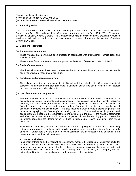Notes to the financial statements Year ending December 31, 2012 and 2011 (Amounts in thousands, except share and per share amounts)

#### **1. Reporting entity:**

CWC Well Services Corp. ("CWC" or the "Company") is incorporated under the Canada Business Corporations Act. The address of the Company's registered office is Suite 755, 255 –  $5<sup>th</sup>$  Avenue Southwest, Calgary, Alberta, Canada. The Company is an oilfield services company providing production services to oil and gas exploration and development companies throughout the Western Canadian Sedimentary Basin.

#### **2. Basis of presentation:**

#### (a) **Statement of compliance**

These financial statements have been prepared in accordance with International Financial Reporting Standards (IFRS).

These annual financial statements were approved by the Board of Directors on March 5, 2013.

#### (b) **Basis of measurement**

The financial statements have been prepared on the historical cost basis except for the marketable securities which are measured at fair value.

#### (c) **Functional and presentation currency**

These financial statements are presented in Canadian dollars, which is the Company's functional currency. All financial information presented in Canadian dollars has been rounded to the nearest thousand except where otherwise noted.

#### (d) **Use of estimates and judgments**

The preparation of the financial statements in conformity with IFRS requires the use of certain critical accounting estimates, judgments and assumptions. The carrying amount of assets, liabilities, accruals, provisions, contingent liabilities, other financial obligations, as well as the determination of fair values and reported income and expense in these financial statements depends on the use of estimates, judgments and assumptions. IFRS also requires management to exercise judgment in the process of applying the Company's accounting policies. These estimates, judgments and process of applying the Company's accounting policies. assumptions are based on the circumstances and estimates at the date of the financial statements and affect the reported amounts of income and expenses during the reporting periods. Given the uncertainty regarding the determination of these factors, actual results may differ from these estimates.

Estimates and underlying assumptions are reviewed on an ongoing basis. Revisions to accounting estimates are recognized in the period in which the estimates are revised and in any future periods affected. Further details of the nature of these estimates and assumptions may be found in the relevant notes to the financial statements.

#### **i. Accounts receivables**

Impairment of trade and other receivables is constantly monitored. Evidence of impairment could, for example, occur when the financial difficulties of a debtor become known or payment delays occur. Impairments are based on historical values, observed customer solvency, the aging of trade and other receivables and customer-specific and industry risks. In addition, the Company reviews external credit ratings as well as bank and trade references when available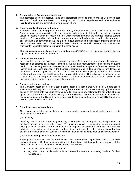#### **ii. Depreciation of Property and equipment**

The estimated useful life, residual value and depreciation methods chosen are the Company's best estimate of such and are based on industry norms, historical experience and other estimates including the period and distribution of future cash inflows.

#### **iii. Recoverability of non-current assets**

At the end of each reporting period or more frequently if warranted by a change in circumstances, the Company assesses the carrying values of property and equipment. If it is determined that carrying values of assets cannot be recovered, the unrecoverable amounts are charged against current earnings. Recoverability is dependent upon assumptions and judgments regarding discount rates, past and actual performance as well as expected developments in the respective markets and in the overall macroeconomic environment and economic trends. A material change in assumptions may significantly impact the potential impairment of these assets.

The Company's determination of Cash Generating Units ("CGU's) is a key judgment and may have a significant impact on the impairment test.

#### **iv. Deferred income taxes**

In calculating the income taxes, consideration is given to factors such as non-deductible expenses, recognition of deferred tax assets, changes in tax law and management's expectations of future results. The Company estimates deferred income taxes based on temporary differences between the income and the losses reported in the financial statements and its taxable income and losses as determined under the applicable tax laws. The tax effect of these temporary differences is recorded as deferred tax assets or liabilities in the financial statements. The calculation of income taxes requires the use of judgments and estimates. If these judgments and estimates prove to be inaccurate, future earnings may be materially impacted.

#### **v. Stock based compensation**

The Company accounts for stock based compensation in accordance with IFRS 2 Share-based Payments which requires companies to recognize the cost of such awards of equity instruments based on the grant date fair value of those awards. The Company estimates the fair value of stock option awards on the date of grant utilizing a Black-Scholes option valuation model. Certain key assumptions used in the Black-Scholes model include the expected stock price volatility, forfeitures, dividend yield and expected term.

#### **3. Significant accounting policies:**

The accounting policies set out below have been applied consistently to all periods presented in these financial statements.

#### (a) Inventory

Inventory consists mainly of operating supplies, consumables and repair parts. Inventory is stated at the lower of cost or net realizable value. The cost of inventory is accounted for on a weighted average basis and includes expenditures incurred in acquiring the inventory, and other costs incurred in bringing them to their existing location and condition. Net realizable value is the estimated selling price in the ordinary course of business, less the estimated costs of completion and selling expenses.

#### (b) Property and equipment and depreciation

Property and equipment are recorded at cost less accumulated depreciation and accumulated impairment losses. Cost includes expenditures that are directly attributable to the acquisition of the asset. The cost of self-constructed assets includes the following:

- the cost of materials and direct labour
- any other costs directly attributable to bringing the assets to a working condition for their intended use;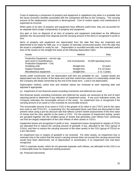Costs of replacing a component of property and equipment is capitalized only when it is probable that the future economic benefits associated with the component will flow to the Company. The carrying amount of the replacement component is derecognized. Cost of routine repairs and maintenance is expensed as incurred.

When parts of an item of property and equipment have different useful lives, they are accounted for as separate items (major components) of property and equipment.

Any gain or loss on disposal of an item of property and equipment (calculated as the difference between the net proceeds from disposal and the carrying amount of the item) is recognized in profit or loss.

Items of property and equipment are depreciated from the date that they are inspected and determined to be ready for field use, or in respect of internally constructed assets, from the date that the asset is completed or ready for use. Depreciation is recorded annually over the estimated useful lives of the assets on the straight-line basis at the following deprecation rates:

| Assets                                                                                               | Method             | Rate                   |
|------------------------------------------------------------------------------------------------------|--------------------|------------------------|
| Production Equipment - service rigs<br>and Level IV recertifications<br>Production Equipment - Coil, | Unit of production | 24,000 operating hours |
| Snubbing units                                                                                       | Straight-line      | 10 years               |
| <b>Support Equipment</b>                                                                             | Straight-line      | 2 to 10 years          |
| Miscellaneous equipment                                                                              | Straight-line      | 3 to 5 years           |

Assets under construction are not depreciated until they are available for use. Leased assets are depreciated over the shorter of the lease term and their useful lives unless it is reasonably certain that the Company will obtain ownership by the end of the lease term. Land is not depreciated.

Depreciation method, useful lives and residual values are reviewed at each reporting date and adjusted if appropriate.

(c) Impairment of non-financial assets excluding inventories and deferred tax asset

Non-financial assets excluding inventories and deferred tax assets are assessed at the end of each reporting period to determine if any indication of impairment exists. If any such indication exists, the Company estimates the recoverable amount of the asset. An impairment loss is recognized if the carrying amount of an asset or CGU exceeds its recoverable amount.

The recoverable amount of an asset or CGU is the greater of its value in use ("VIU") and its fair value less costs to sell ("FVLCS"). In assessing VIU, the estimated future cash flows are discounted to their present value using a pre-tax discount rate that reflects current market assessments of the time value of money and the risks specific to the asset or CGU. For the purpose of impairment testing, assets are grouped together into the smallest group of assets that generates cash inflows from continuing use that are largely independent of the cash inflows of other assets or CGU's.

Impairment losses are recognized in profit or loss. Impairment losses recognized in respect of CGUs are allocated first to reduce the carrying amount of goodwill, if any, allocated to the CGU (group of CGUs), and then to reduce the carrying amounts of the other assets in the CGU (group of CGUs) on a pro rata basis.

An impairment loss in respect of goodwill is not reversed. For other assets, an impairment loss is reversed only to the extent that the asset's carrying amount does not exceed the carrying amount that would have been determined, net of depreciation or amortization, if no impairment loss had been recognized.

CWC's corporate assets, which do not generate separate cash inflows, are allocated to the CGU's on a reasonable basis for impairment testing purposes.

(d) Financial instruments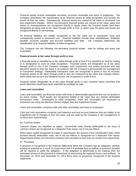Financial assets include marketable securities, accounts receivable and loans to employees. The Company determines the classification of its financial assets at initial recognition and records the assets at their fair value. Subsequently, financial assets are carried at fair value or amortized cost less impairment charges. Where non-derivative financial assets are carried at fair value, gains and losses on remeasurement are recognized directly in equity unless the financial assets have been designated as being held at fair value through profit or loss, in which case the gains and losses are recognized directly in net earnings.

All financial liabilities are initially recognized at the fair value net of transaction costs and subsequently carried at amortized cost. Financial liabilities include bank indebtedness, dividends payable, accounts payable and accrued liabilities and debt. The Company determines the classification of its financial liabilities at initial recognition.

The Company has the following non-derivative financial assets: held for trading and loans and receivables

#### **Financial assets at fair value through profit or loss**

A financial asset is classified as at fair value through profit or loss if it is classified as held for trading or is designated as such on initial recognition. Financial assets are designated as at fair value through profit or loss if the Company manages such investments and makes purchase and sale decisions based on their fair value in accordance with the Company's documented risk management or investment strategy. Attributable transaction costs are recognized in profit or loss as incurred. Financial assets at fair value through profit or loss are measured at fair value and changes therein, which takes into account any dividend income, are recognized in profit or loss.

Financial assets designated as at fair value through profit or loss comprise equity securities that would otherwise would have been classified as available for sale.

#### **Loans and receivables**

Loans and receivables are financial assets with fixed or determinable payments that are not quoted in an active market. Such assets are recognized initially at fair value plus any directly attributable transactions costs. Subsequent to initial recognition, loans and receivables are measured at amortized cost using the effective interest method, less any impairment losses.

Loans and receivables comprise trade and other receivables and loans to employees.

Cash and cash equivalents comprise cash balances and trust account balances that are subject to an insignificant risk of changes in their fair value, and are used by the Company in the management of its short-term commitments.

(e) Common shares

Common shares are classified as equity. Incremental costs directly attributable to the issue of common shares are recognized as a deduction from equity, net of any tax effects.

When share capital recognized as equity is repurchased, the amount of the consideration paid, which includes directly attributable costs, net of any tax effects, is recognized as a deduction from equity. Repurchased shares are returned to treasury and cancelled no less than six months from repurchase.

(f) Provisions

A provision is recognized in the financial statements when the Company has an obligation, whether existing or potential as a result of a past event and it is probable that an outflow of economic benefits will be required to settle the obligation. If the obligation is determined to be material, then the estimated amount of the provision is determined by discounting the expected future cash outflows. At December 31, 2012 and December 31, 2011 there were no provisions recognized in the financial statements.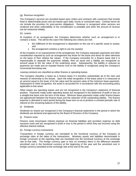#### (g) Revenue recognition

The Company's services are provided based upon orders and contracts with customers that include fixed or determinable prices and are based upon daily, hourly or contracted rates. Contract terms do not include the provision for post-service obligations. Revenue is recognized when services are rendered and when collectability of the consideration is probable and when the amount of revenue can be measured reliably.

#### (h) Leases

At inception of an arrangement, the Company determines whether such an arrangement is or contains a lease. This will be the case if the following two criteria are met:

- the fulfillment of the arrangement is dependent on the use of a specific asset or assets; and
- the arrangement contains a right to use the asset(s)

At the inception or on reassessment of the arrangement, the Company separates payments and other consideration required by such an arrangement into those for the lease and those for other elements on the basis of their relative fair values. If the Company concludes for a finance lease that it is impracticable to separate the payments reliably, then an asset and a liability are recognized as amount equal to the fair value of the underlying asset. Subsequently, the liability is reduced as payments are made and an imputed finance cost on the liability is recognized using the Company's incremental borrowing rate.

Leasing contracts are classified as either finance or operating leases.

The Company classifies a lease as a finance lease if it transfers substantially all of the risks and rewards of ownership to the lessee. Upon the initial recognition of the lease asset it is measured at an amount equal to the lower of its fair value and the present value of the minimum lease payments. Subsequent to initial recognition, the asset is accounted for in accordance with the accounting policy applicable to that asset.

Other leases are operating leases and are not recognized in the Company's statement of financial position. Payments made under operating leases are recognized in the statement of profit or loss on a straight-line basis over the term of the lease. Minimum lease payments made under finance leases are apportioned between the finance lease and the reduction of the outstanding liability. The finance expense is allocated to each period during the lease term so as to produce a constant periodic rate of interest on the remaining balance of the liability.

(i) Dividends

Dividends on shares are recognized in the Company's financial statements in the period in which the dividends are declared and approved by the Board of Directors of the Company.

(j) Finance costs

Finance costs encompass interest expense on financial liabilities and accretion expense on debt issuance costs and are recognized in profit or loss in the period in which they are incurred using the effective interest method.

#### (k) Foreign currency transactions

Transactions in foreign currency are translated to the functional currency of the Company at exchange rates at the dates of the transactions. Monetary assets and liabilities denominated in foreign currencies at the reporting date are translated into the functional currency at the exchange rate at that date. The foreign currency gain or loss on monetary items is the difference between amortized cost in the functional currency at the beginning of the year and the amortized cost in foreign currency translated at the exchange rate at the end of the year.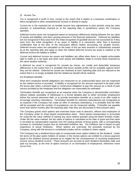#### (l) Income Tax

Tax is recognized in profit or loss, except to the extent that it relates to a business combination or items recognized in other comprehensive income or directly in equity.

Current tax is the expected tax on taxable income less adjustments to prior periods using tax rates enacted, or substantively enacted as at the reporting date in jurisdictions where the Company operates.

Deferred income taxes are recognized based on temporary differences arising between the tax value of assets and liabilities and their carrying amounts in the financial statements. Deferred tax liabilities are not recognized if they arise from the initial recognition of goodwill and are not accounted for if they arise from the initial recognition of an asset or liability in a transaction other than a business combination that at the time of the transaction affects neither accounting nor taxable income. Deferred income taxes are calculated on the basis of the tax laws enacted or substantively enacted as at the reporting date and apply to when the related deferred income tax asset is realized or the deferred income tax liability is settled.

Current and deferred income tax assets and liabilities are offset when there is a legally enforceable right to settle on a net basis and when such assets and liabilities relate to income taxes imposed by the same taxation authority.

A deferred tax asset is recognized for unused tax losses, tax credits and deductible temporary differences to the extent that it is probable that future taxable profits will be available against which they can be utilized. Deferred tax assets are reviewed at each reporting date and are reduced to the extent that it is no longer probable that the related tax benefit will be realized.

#### (m) Employee benefits

Short term employee benefit obligations are measured on an undiscounted basis and are expensed as the related service is provided. A liability is recognized for the amount expected to be paid under the bonus plan when a present legal or constructive obligation to pay this amount as a result of past service provided by the employee and the obligation can reasonably be estimated.

Termination benefits are recognized as an expense when the Company is demonstrably committed, without realistic possibility of withdrawal to a formal detailed plan to either terminate employment before the normal retirement date, or to provide termination benefits as a result of an offer made to encourage voluntary redundancy. Termination benefits for voluntary redundancies are recognized as an expense if the Company has made an offer of voluntary redundancy, it is probable that the offer will be accepted and the number of acceptances can be measured reliably. If benefits are payable more than twelve months after the reporting date, then they are discounted to their present value.

The Company grants stock options and restricted share units to directors, officers and employees of the Company under its share based compensation plans. Stock based compensation is accounted for using the fair value method of valuing any stock options granted using the Black-Scholes model. Under the fair value method, the fair value of options is calculated at the date of grant and that value is recorded as compensation expense over the vesting periods of those grants, with a corresponding increase to contributed surplus less an estimated forfeiture rate. The forfeiture rate is based on past experience of actual forfeitures. When options are exercised, the proceeds received by the Company, along with the amount in contributed surplus will be credited to share capital.

The Company has a dividend bonus plan to compensate stock option holders for the dividend. Under the terms of the plan option holders of vested, in the money options are entitled to a bonus payment equal to the dividend amount grossed up to negate the tax consequences of receiving employment income versus dividend income. These amounts are accrued at each dividend declaration date and paid out annually, at the time of option exercise or on termination of employment, whichever event occurs first.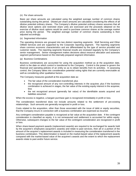#### (n) Per share amounts

Basic per share amounts are calculated using the weighted average number of common shares outstanding during the period. Diluted per share amounts are calculated considering the effects of all dilutive potential ordinary shares. The Company's dilutive potential ordinary shares assumes that all dilutive stock options and restricted share units are exercised and the proceeds obtained on the exercise of dilutive stock options would be used to purchase common shares at the average market price during the period. The weighted average number of common shares outstanding is then adjusted accordingly.

#### (o) Segmented information

The operating divisions are grouped into two distinct reporting segments: Well Servicing and Other Oilfield Services and are supported by the Corporate reporting segment. The reporting segments share common economic characteristics and are differentiated by the type of service provided and customer needs. The reporting segments financial results are reviewed regularly by the Company's senior management. Senior management makes decisions about resource allocation and assesses segment performance based on the internally prepared segment information.

#### (p) Business Combinations

Business combinations are accounted for using the acquisition method as at the acquisition date, which is the date on which control is transferred to the Company. Control is the power to govern the financial and operating policies of an entity so as to obtain benefits from its activities. In assessing control, the Company takes into consideration potential voting rights that are currently exercisable as well as considering other qualitative factors.

The Company measures goodwill at the acquisition date as:

- The fair value of the consideration transferred; plus
- the recognized amount of any non-controlling interests in the acquiree; plus if the business combination is achieved in stages, the fair value of the existing equity interest in the acquiree; less
- the net recognized amount (generally fair value) of the identifiable assets acquired and liabilities assumed.

When the excess is negative, a bargain purchase gain is recognized immediately in profit or loss.

The consideration transferred does not include amounts related to the settlement of pre-existing relationships. Such amounts are generally recognized in profit or loss.

Costs related to the acquisition, other than those associated with the issue of debt or equity securities, that the Company incurs in connection with a business combination are expensed as incurred.

Any contingent consideration payable is recognized at fair value at the acquisition date. If the contingent consideration is classified as equity, it is not remeasured and settlement is accounted for within equity. Otherwise, subsequent changes to the fair value of the contingent consideration are recognized in profit or loss.

When share-based payment awards (replacement awards) are required to be exchanged for awards held by the acquiree's employees (acquiree's awards) and relate to past services, then all or a portion of the amount of the acquirer's replacement awards is included in measuring the consideration transferred in the business combination. This determination is based on the market-based value of the replacement awards compared with the market-based value of the acquiree's awards and the extent to which the replacement awards relate to past and/or future service.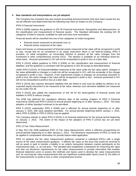#### **4. New standards and interpretations not yet adopted:**

The Company has reviewed new and revised accounting pronouncements that have been issued but are not yet effective and determined that the following may have an impact on the Company.

#### *IFRS 9 Financial Instruments*

IFRS 9 (2009) replaces the guidance in IAS 39 *Financial Instruments: Recognition and Measurement,* on the classification and measurement of financial assets. The Standard eliminates the existing IAS 39 categories of held to maturity, available for sale and loans and receivables.

Financial assets will be classified into one of two categories on initial recognition:

- financial assets measured at amortized cost; or,
- financial assets measured at fair value

Gains and losses on remeasurement of financial assets measured at fair value will be recognized in profit or loss, except that for an investment in an equity instrument which is not held-for-trading, IFRS 9 provides, on initial recognition, an irrevocable election to present all fair value changes from the investment in other comprehensive income (OCI). The election is available on an individual share-byshare basis. Amounts presented in OCI will not be reclassified to profit or loss at a later date.

IFRS 9 (2010) added guidance to IFRS 9 (2009) on the classification and measurement of financial liabilities, and the guidance is consistent with the guidance in IAS 39 except as described below.

Under IFRS 9 (2010), for financial liabilities measured at fair value under the fair value option, changes in fair value attributable to changes in credit risk will be recognized in OCI, with the remainder of the change recognized in profit or loss. However, if this requirement creates or enlarges an accounting mismatch in profit or loss, the entire change in fair value will be recognized in profit or loss. Amounts presented in OCI will not be reclassified to profit or loss at a later date.

IFRS 9 (2010) also requires derivative liabilities that are linked to and must be settled by delivery of an unquoted equity instrument to be measured at fair value, whereas such derivative liabilities are measured at cost under IAS 39.

IFRS 9 (2010) also added the requirements of IAS 39 for the derecognition of financial assets and liabilities to IFRS 9 without change.

The IASB has deferred the mandatory effective date of the existing chapters of IFRS 9 *Financial Instruments* (2009) and IFRS 9 (2010) to annual periods beginning on or after January 1, 2015. The early adoption of either standard continues to be permitted.

IFRS 9 (2010) supersedes IFRS 9 (2009) and is effective for annual periods beginning on or after January 1, 2015, with early adoption permitted. For annual periods beginning before January 1, 2015, either IFRS 9 (2009) or IFRS 9 (2010) may be applied.

The Company intends to adopt IFRS 9 (2010) in its financial statements for the annual period beginning on January 1, 2015. The extent of the impact of the adoption of IFRS 9 (2010) has not yet been determined.

#### *IFRS 13 Fair Value Measurement*

In May 2011 the IASB published IFRS 13 *Fair Value Measurement*, which is effective prospectively for annual periods beginning on or after January 1, 2013. The disclosure requirements of IFRS 13 need not be applied in comparative information for periods before initial application.

IFRS 13 replaces the fair value measurement guidance contained in individual IFRS's with a single source of fair value measurement guidance. It defines fair value as the price that would be received to sell an asset or paid to transfer a liability in an orderly transaction between market participants at the measurement date, i.e. an exit price. The standard also establishes a framework for measuring fair value and sets out disclosure requirements for fair value measurements to provide information that enables financial statement users to assess the methods and inputs used to develop fair value measurements and, for recurring fair value measurements that use significant unobservable inputs (Level 3), the effect of the measurements on profit or loss or other comprehensive income.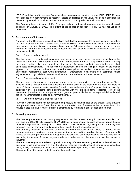IFRS 13 explains 'how' to measure fair value when its required or permitted by other IFRS. IFRS 13 does not introduce new requirements to measure assets or liabilities at fair value, nor does it eliminate the practicability exceptions to fair value measurements that currently exist in certain standards.

The Company intends to adopt IFRS 13 prospectively in its financial statements for the annual period beginning on January 1, 2013. The extent of the impact of adoption of IFRS 13 has not yet been determined.

#### **5. Determination of fair values:**

A number of the Company's accounting policies and disclosures require the determination of fair value, for both financial and non-financial assets and liabilities. Fair values have been determined for measurement and/or disclosure purposes based on the following methods. When applicable, further information about the assumptions made in determining fair values is disclosed in the notes specific to that asset or liability.

#### (a) Property and equipment

The fair value of property and equipment recognized as a result of a business combination is the estimated amount for which a property could be exchanged on the date of acquisition between a willing buyer and a willing seller in an arm's length transaction after proper marketing wherein the parties had each acted knowledgeably. The fair value of equipment, fixtures and fittings is based on the market approach and cost approaches using quoted market prices for similar items when available and depreciated replacement cost when appropriate. Depreciated replacement cost estimates reflect adjustments for physical deterioration as well as functional and economic obsolescence.

#### (b) Share-based payment transactions

The fair value of the employee share options and restricted share units are measured using the Black-Scholes formula. Measurement inputs include the share price on the measurement date, the exercise price of the option/unit, expected volatility (based on an evaluation of the Company's historic volatility, particularly over the historic period commensurate with the expected term), expected term of the instruments (based on historical experience and general option holder behavior), expected dividends, and the risk-free interest rate (based on government bonds).

#### (c) Other non-derivative financial liabilities

Fair value, which is determined for disclosure purposes, is calculated based on the present value of future principal and interest cash flows, discounted at the market rate of interest at the reporting date. For finance leases the market rate of interest is determined by reference to similar lease agreements.

#### **6. Operating segments:**

The Company operates in two primary segments within the service industry in Western Canada: Well Servicing and Other Oilfield Services. The Well Servicing segment provides well services through the use of service rigs and coil tubing units. The Other Oilfield Services segment provides snubbing and production testing, primarily providing support services to the well service business. .

The Company evaluates performance on net income before depreciation and taxes, as included in the management reports reviewed by key management personnel and the board of directors. Segment profit is used to measure performance as management believes that such information is the most relevant in evaluating the results of certain segments relative to other entities that operate within the respective industries.

The reportable segments are distinct operations as they offer complementary services to the well service business. Once a service rig is on site, the other services are typically onsite at various times supporting the rig activity. However, these services can be performed independently of well servicing. The amounts related to each industry segment are as follows: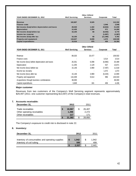|                                                 |                       | <b>Other Oilfield</b>    |           |         |
|-------------------------------------------------|-----------------------|--------------------------|-----------|---------|
| YEAR ENDED DECEMBER 31, 2012                    | <b>Well Servicing</b> | <b>Services</b>          | Corporate | Total   |
|                                                 |                       |                          |           |         |
| <b>Revenue</b>                                  | 102.807               | 9,525                    |           | 112,332 |
| <b>Finance costs</b>                            | -                     |                          | 2,948     | 2,948   |
| Net income (loss) before depreciation and taxes | 28,540                | 1,322                    | (8, 832)  | 21,030  |
| <b>Depreciation</b>                             | 12,435                | 1.254                    | 571       | 14,260  |
| Net income (loss) before tax                    | 16,105                | 68                       | (9, 403)  | 6,770   |
| Income tax expense                              | -                     | $\overline{\phantom{0}}$ | (1,987)   | (1,987) |
| Net income (loss) after tax                     | 16.105                | 68                       | (11, 390) | 4,783   |
| <b>Property and equipment</b>                   | 118,627               | 8,839                    | 1,072     | 128,538 |
| <b>Capital expenditures</b>                     | 15,016                | 875                      | 459       | 16,350  |

| YEAR ENDED DECEMBER 31, 2011                    | <b>Well Servicing</b> | <b>Services</b> | Corporate | Total   |
|-------------------------------------------------|-----------------------|-----------------|-----------|---------|
|                                                 |                       |                 |           |         |
| Revenue                                         | 89.025                | 20.477          |           | 109,502 |
| Finance costs                                   |                       |                 | 3.514     | 3,514   |
| Net income (loss) before depreciation and taxes | 26,351                | 6.098           | (6,960)   | 25,489  |
| Depreciation                                    | 11,205                | 2,129           | 537       | 13,871  |
| Net income (loss) before tax                    | 15,146                | 3,969           | (7, 497)  | 11,618  |
| Income tax recovery                             |                       |                 | 1.072     | 1,072   |
| Net income (loss) after tax                     | 15,146                | 3,969           | (6, 425)  | 12,690  |
| Property and equipment                          | 116,309               | 9,614           | 996       | 126,919 |
| Acquisitions through business combinations      | 38,000                |                 |           | 38,000  |
| Capital expenditures                            | 3,849                 | 181             | 406       | 4,436   |
|                                                 |                       |                 |           |         |

#### **Major customer**

Revenues from two customers of the Company's Well Servicing segment represents approximately \$29,497 (2011: one customer representing \$13,597) of the Company's total revenues.

### **7. Accounts receivable:**

| December 31,                                     | 2012            |   | 2011            |
|--------------------------------------------------|-----------------|---|-----------------|
| Trade receivables<br>Other operating receivables | 19.967<br>1.298 | S | 26,407<br>2.272 |
| Other receivables                                | 117             |   | 171             |
|                                                  | 21,382          |   | 28,850          |

The Company's exposure to credit risk is disclosed in note 22.

#### **8. Inventory:**

| December 31,                                                                |   | 2012         |   | 2011         |
|-----------------------------------------------------------------------------|---|--------------|---|--------------|
| Inventory of consumables and operating supplies<br>Inventory of coil tubing | S | 1.942<br>595 | S | 1.942<br>499 |
|                                                                             |   | 2.537        |   | 2.441        |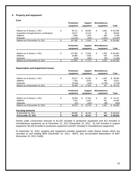#### **9. Property and equipment:**

#### **Cost**

|                                            | <b>Production</b><br><b>Support</b> |           |        | <b>Miscellaneous</b> |         |           |
|--------------------------------------------|-------------------------------------|-----------|--------|----------------------|---------|-----------|
|                                            | equipment                           | equipment |        | equipment            |         | Total     |
|                                            |                                     |           |        |                      |         |           |
| Balance as of January 1, 2011              | \$<br>90.721                        |           | 59.065 | \$                   | 2,582   | \$152,368 |
| Acquisitions through business combinations | 24.817                              |           | 13,133 |                      | 50      | 38,000    |
| Additions                                  | 2.866                               |           | 1,263  |                      | 660     | 4.789     |
| <b>Disposals</b>                           | (11.022)                            |           | (643)  |                      | (1,832) | (13,497)  |
| Balance as of December 31, 2011            | 107,382                             |           | 72.818 |                      | 1,460   | \$181,660 |

|                                 | <b>Production</b> | <b>Support</b> |           |   | <b>Miscellaneous</b> |           |
|---------------------------------|-------------------|----------------|-----------|---|----------------------|-----------|
|                                 | equipment         |                | equipment |   | equipment            | Total     |
|                                 |                   |                |           |   |                      |           |
| Balance as of January 1, 2012   | \$<br>107.382     |                | 72.818    | S | 1.460                | \$181,660 |
| Additions                       | 10.986            |                | 4.939     |   | 635                  | 16.560    |
| <b>Disposals</b>                | (518)             |                | (582)     |   | (85)                 | (1, 185)  |
| Balance as of December 31, 2012 | 117.851           |                | 77.175    |   | 2.010                | 197.035   |

#### **Depreciation and Impairment losses**

|                                 |    | <b>Production</b><br>equipment | <b>Support</b><br>equipment | Miscellaneous<br>equipment | Total    |
|---------------------------------|----|--------------------------------|-----------------------------|----------------------------|----------|
|                                 |    |                                |                             |                            |          |
| Balance as of January 1, 2011   | \$ | 24.577                         | 22.093                      | \$<br>1.925                | 48.595   |
| <b>Additions</b>                |    | 7.329                          | 6.076                       | 466                        | 13.871   |
| <b>Disposals</b>                |    | (5.416)                        | (515)                       | (1.794)                    | (7, 725) |
| Balance as of December 31, 2011 | S  | 26.490                         | 27.654                      | 597                        | 54.741   |

|                                                                | <b>Production</b><br>equipment | <b>Support</b><br>equipment |    | <b>Miscellaneous</b><br>equipment |    | Total                     |
|----------------------------------------------------------------|--------------------------------|-----------------------------|----|-----------------------------------|----|---------------------------|
| Balance as of January 1, 2012<br>Additions<br><b>Disposals</b> | \$<br>26.490<br>7.267<br>(87)  | 27.654<br>6.442<br>(332)    | \$ | 597<br>551<br>(86)                | S. | 54,741<br>14.260<br>(505) |
| Balance as of December 31, 2012                                | 33.670                         | 33.764                      | Ⴇ  | .062                              |    | 68.496                    |

#### **Carrying amounts**

| _ _ _ _ _ _ _ _ _<br>------------- |   |            |         |                           |        |     |                             |
|------------------------------------|---|------------|---------|---------------------------|--------|-----|-----------------------------|
| 31.201'<br>At<br>December          | w | 80.892     | $\cdot$ | . .<br>164<br>∕' ←<br>TJ. | ሖ<br>ъ | 863 | <b>DR</b><br>919<br>æ<br>۰D |
| 2012<br>At December 31.            |   | ,180<br>84 |         | AA                        | - 13   | 948 | 128.538                     |

Assets under construction amounts to \$1,252 included in production equipment and \$13 included in miscellaneous equipment as at December 31, 2012 (December 31, 2011: \$1,135 included in support equipment; \$2,426 included in production equipment and \$37 included in miscellaneous equipment).

At December 31, 2012, property and equipment includes equipment under finance leases which are recorded at cost totaling \$634 (December 31, 2011: \$497), less accumulated depreciation of \$267 (December 31, 2011: \$168).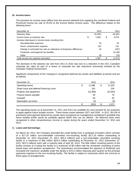#### **10. Income taxes:**

The provision for income taxes differs from the amount obtained from applying the combined Federal and Provincial Income tax rate of 25.0% to the income before income taxes. The difference relates to the following items:

| December 31.                                                         | 2012        |    | 2011     |
|----------------------------------------------------------------------|-------------|----|----------|
| <b>Statutory Rate</b>                                                | 25.00%      |    | 26.50%   |
| Income taxes at statutory rate                                       | \$<br>1,692 | \$ | 3,079    |
| Increase (decrease) in income taxes resulting from:                  |             |    |          |
| Non-deductible expenses                                              | 34          |    | 43       |
| Stock compensation expense                                           | 187         |    | 212      |
| Change in estimated tax rate on realization of temporary differences | 16          |    | (187)    |
| Previously unrecognized tax benefits                                 |             |    | (4, 149) |
| Other                                                                | 58          |    | (70)     |
| Total income tax expense (recovery)                                  | 1.987       | S  | (1,072)  |

The decrease in the statutory tax rate from 2011 to 2012 was due to a reduction in the 2011 Canadian corporate tax rates as part of a series of corporate tax rate reductions previously enacted by the Canadian Federal Government.

Significant components of the Company's recognized deferred tax assets and liabilities at period end are as follows:

| December 31,                             | 2012         | 2011         |
|------------------------------------------|--------------|--------------|
| Operating losses                         | \$<br>11.685 | \$<br>11,203 |
| Share issue and deferred financing costs | 162          | 234          |
| Property and equipment                   | (12,908)     | (10, 500)    |
| Finance leases payable                   | 93           | 79           |
| Goodwill                                 | 56           | 65           |
| Marketable securities                    | (3)          | (9)          |
|                                          | \$<br>(915)  | 1.072        |

The operating losses as at December 31, 2011 and 2012 are available for carry-forward for tax purposes to apply against future taxable income. These losses expire between 2027 and 2030. In 2011, \$4,149 of previously unrecognized deferred tax assets were recognized as management considered it probable that future taxable profits would be available against which they can be utilized. No deferred taxes were recognized in other comprehensive income or equity during the years ended December 31, 2012 and 2011.

#### **11. Loans and borrowings:**

On March 20, 2012, the Company amended the credit facility from a syndicate of lenders which consists of a \$17.25 million non-extendable committed non-revolving facility (\$17.25 million outstanding at December 31, 2012 (December 31, 2011: \$25.5 million)) and a non-extendable committed revolving facility to a maximum of \$46 million (\$24.5 million outstanding at December 31, 2012 (December 31, 2011: \$22.5 million)) each with a maturity date of April 30, 2014. The \$46 million revolving portion of the facility consists of a swing line facility to a maximum of \$5 million with the remainder consisting of prime based loans and bankers acceptances. The amendment accommodated the payment of dividends and increased the maximum available under the facility to \$70.5 million reducing each quarter by the principal payments required on the non-revolving facility. The facility is subject to covenants which are common to these types of arrangements.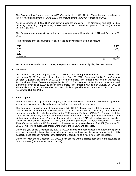The Company has finance leases of \$373 (December 31, 2011: \$299). These leases are subject to interest rates ranging from 4.41% to 5.60% and maturing from May 2014 to December 2015.

As at December 31, 2012, \$667 was drawn under the swingline. The Company had cash of \$73, offsetting outstanding cheques of \$2,569 resulting in a bank indebtedness position of \$3,163 (December 31, 2011: \$1,810).

The Company was in compliance with all debt covenants as at December 31, 2012 and December 31, 2011.

The estimated principal payments for each of the next five fiscal years are as follows:

| 2013       | 2,422                    |
|------------|--------------------------|
| 2014       | 39,670                   |
| 2015       | 56                       |
| 2016       | $\overline{\phantom{0}}$ |
| Thereafter | 25                       |
|            | 42,173                   |

For more information about the Company's exposure to interest rate and liquidity risk refer to note 22.

#### **12. Dividends:**

On March 20, 2012, the Company declared a dividend of \$0.0325 per common share. The dividend was paid on July 13, 2012 to shareholders of record on June 29, 2012. On August 13, 2012, the Company declared a quarterly dividend of \$0.01625 per common share. The dividend was paid on October 15, 2012 to shareholders of record on September 28, 2012. On November 15, 2012, the Company declared a quarterly dividend of \$0.01625 per common share. The dividend was paid on January 15, 2013 to shareholders on record on December 31, 2012. Dividends payable as at December 31, 2012 is \$2,517 (December 31, 2011 \$NIL).

#### **13. Share capital:**

The authorized share capital of the Company consists of an unlimited number of Common voting shares with no par value and an unlimited number of Preferred shares with no par value.

The Company renewed a Normal Course Issuer Bid ("NCIB") effective April 1, 2012, to purchase from time to time, as it is considered advisable, up to 7,775,196 of its issued and outstanding common shares on the open market through the facilities of the TSX Venture Exchange ("TSXV"). The price that the Company will pay for any common share under the NCIB will be the prevailing market price on the TSXV at the time of such purchase. Common shares acquired under the NCIB will be subsequently cancelled. During the year ended December 31, 2012, the Company purchased 1,871,500 (December 31, 2011: 794,000) shares under the NCIB for total consideration including commissions of \$1,452 (December 31, 2011: \$477). The re-purchased shares were returned to treasury and cancelled.

During the year ended December 31, 2011, 1,672,935 shares were repurchased from a former employee with the consideration being the cancellation of a share purchase loan in the amount of \$419. This transaction has not been reflected in the statement of cash flows as it was a non-cash transaction.

During the year ended December 31, 2012, stock options were exercised resulting in the issuance of 343,322 shares (December 31, 2011: 171,649).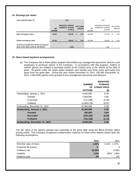### **14. Earnings per share:**

| Year ended December 31,                                                                     | 2012                        |                                                                  |  |                                   |                             |                                                           |   |                            |
|---------------------------------------------------------------------------------------------|-----------------------------|------------------------------------------------------------------|--|-----------------------------------|-----------------------------|-----------------------------------------------------------|---|----------------------------|
|                                                                                             | <b>NET</b><br><b>INCOME</b> | <b>WEIGHTED AVERAGE</b><br><b>NUMBER OF SHARES</b><br>(in 000's) |  | <b>PER SHARE</b><br><b>AMOUNT</b> | <b>NET</b><br><b>INCOME</b> | <b>WEIGHTED AVERAGE</b><br>NUMBER OF SHARES<br>(in 000's) |   | PER SHARE<br><b>AMOUNT</b> |
| Basic earnings per share                                                                    | \$4,783                     | 155,332                                                          |  | 0.03                              | \$12,690                    | 157,021                                                   | S | 0.08                       |
| Diluted earnings per share                                                                  | \$4,783                     | 159,910                                                          |  | 0.03                              | \$12,690                    | 159,422                                                   |   | 0.08                       |
| Securities excluded from diluted earnings per<br>share as the effect would be anti-dilutive |                             | 2.939                                                            |  |                                   |                             | 2,481                                                     |   |                            |

#### **15. Share based payment arrangements:**

(a) The Company has a share option program that entitles key management personnel, directors and employees to purchase shares in the Company. In accordance with this program, holders of vested options are entitled to purchase shares at the market price of the shares at the date of grant. All grants under the share option program vest equally over three years and expire five years from the grant date. During the year ended December 31 2012, 250,000 (December 31, 2011: 2,050,000) options were granted to key management personnel and directors.

|                                |                | <b>WEIGHTED</b> |
|--------------------------------|----------------|-----------------|
|                                | <b>NUMBER</b>  | <b>AVERAGE</b>  |
|                                |                | OF STRIKE PRICE |
|                                | <b>OPTIONS</b> | $($)$           |
| Outstanding, January 1, 2011   | 9,492,835      | 0.38            |
| Granted                        | 2,050,000      | 0.60            |
| Exercised                      | (171, 649)     | (0.25)          |
| Forfeited                      | (1,006,178)    | (0.97)          |
| Outstanding, December 31, 2011 | 10,365,008     | 0.39            |
| Outstanding, January 1, 2012   | 10,365,008     | 0.39            |
| Granted                        | 250,000        | 0.80            |
| <b>Exercised</b>               | (343, 322)     | (0.25)          |
| <b>Forfeited</b>               | (741, 338)     | (1.12)          |
| Outstanding, December 31, 2012 | 9.530.348      | 0.38            |

The fair value of the options granted was estimated at the grant date using the Black-Scholes option pricing model. The Company recognized compensation expense for these stock options based upon the following assumptions:

|                           | 2012   | 2011          |
|---------------------------|--------|---------------|
| Risk-free rates of return | 1.62%  | 1.31% - 1.57% |
| Expected life (years)     | 5      | 5             |
| Forfeiture rate           | 18.56% | 6.39%         |
| Volatility                | 113%   | 125% - 130%   |
| Dividend yield            | 0%     | 0%            |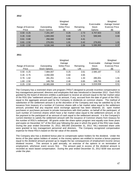**2012**

|                   |                      | Weighted            |           |              | Weighted              |
|-------------------|----------------------|---------------------|-----------|--------------|-----------------------|
|                   |                      | Average             |           | Exercisable  | Average Vested        |
| Range of Exercise | Outstanding          | <b>Strike Price</b> | Remaining | <b>Stock</b> | <b>Exercise Price</b> |
| Price             | <b>Stock Options</b> | (\$)                | Life      | Options      | (\$)                  |
| $0.00 - 0.25$     | 7,201,347            | 0.25                | 2.73      | 4,707,923    | 0.25                  |
| $0.26 - 0.60$     | 1,800,000            | 0.60                | 3.72      | 599.945      | 0.60                  |
| $0.61 - 0.80$     | 250,000              | 0.80                | 4.41      |              |                       |
| $0.81 - 2.50$     | 279,001              | 1.81                | 0.42      | 279,001      | 1.81                  |
| $0.00 - 2.50$     | 9,530,348            | 0.38                | 2.89      | 5,586,869    | 0.37                  |

#### **2011**

| Range of Exercise | Outstanding          | Weighted<br>Average<br><b>Strike Price</b> | Remaining | Exercisable<br>Stock | Weighted<br>Average Vested<br><b>Exercise Price</b> |
|-------------------|----------------------|--------------------------------------------|-----------|----------------------|-----------------------------------------------------|
| Price             | <b>Stock Options</b> | (\$)                                       | Life      | Options              | (\$)                                                |
| $0.00 - 0.25$     | 7,884,007            | 0.25                                       | 3.61      | 2,585,187            | 0.25                                                |
| $0.26 - 0.75$     | 2,050,000            | 0.60                                       | 4.65      |                      |                                                     |
| $0.76 - 1.82$     | 281,251              | 1.81                                       | 1.33      | 285,001              | 1.81                                                |
| $1.83 - 2.50$     | 149,750              | 2.40                                       | 0.65      | 149,750              | 2.40                                                |
| $0.25 - 2.50$     | 10,365,008           | 0.39                                       | 3.24      | 3,019,938            | 0.51                                                |

The Company has a restricted share unit program ("RSU") designed to provide incentive compensation to key management personnel, directors and employees that was introduced in December 2012. Each RSU granted by the board of directors entitles a participant to receive an amount equal to the fair market value of the RSU (the "settlement amount") plus an amount, if any, accrued from the date of grant of the RSU, equal to the aggregate amount paid by the Company in dividends on common shares. The method of satisfaction of the settlement amount is at the discretion of the Company and may be satisfied by (i) the issuance from treasury of a number of Common shares with a fair market value equal to the settlement amount, provided that any required stock exchange approval has been obtained, (ii) open market purchases or purchases pursuant to private transactions with third parties, on behalf of the participant, of such number of Common shares which have a fair market value equal to the settlement amount, or (iii) the payment to the participant of an amount of cash equal to the settlement amount. It is the Company's current intention to satisfy the settlement amount with the issuance of Common shares from treasury for the number of RSU's redeemed. All grants under the share option program vest equally over three years and expire on December 31<sup>st</sup> of the third year following the year in which the grant of the RSU was made. During the year ended December 31, 2012, 660,000 (December 31, 2011: NIL) restricted share units were granted to key management personnel and directors. The Company recognized compensation expense for these RSU's based on the fair value of the awards.

The Company also has a dividend bonus plan to compensate option holders for the dividend. Under the terms of the plan option holders of vested, in the money options are entitled to receive a bonus payment equal to the dividend amount grossed up to negate the tax consequences of employment income versus dividend income. This amount is paid annually, on exercise of the options or on termination of employment, whichever event occurs first. The amount paid in excess of the dividend amount is recorded as stock based compensation. During the year ended December 31, 2012 \$330 was accrued under the plan.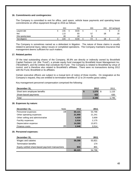#### **16. Commitments and contingencies:**

The Company is committed to rent for office, yard space, vehicle lease payments and operating lease commitments on office equipment through to 2016 as follows:

|                        | 2013  | 2014   | 2015 | 2016 | 2017 and beyond |
|------------------------|-------|--------|------|------|-----------------|
| Long-term debt         | 2,351 | 39,525 |      |      | 24              |
| Rent                   | 1.115 | 920    | 517  | 188  | 193             |
| Other operating leases | 180   | 149    | 56   |      |                 |
| Total obligations      | 3,645 | 40,594 | 573  | 188  | 217             |

The Company is sometimes named as a defendant in litigation. The nature of these claims is usually related to personal injury, labour issues or completed operations. The Company maintains insurance that management deems sufficient for such matters.

#### **17. Related parties**

Of the total outstanding shares of the Company, 85.8% are directly or indirectly owned by Brookfield Capital Partners Ltd. (the "Fund"), a private equity fund managed by Brookfield Asset Management Inc. ("Brookfield"), and the entities that constitute the Fund. The Company is related to Brookfield by virtue of control, and is therefore also related to Brookfield's affiliates. There were no transactions during 2012 with the Fund, Brookfield or its affiliates.

Certain executive officers are subject to a mutual term of notice of three months. On resignation at the Company's request, they are entitled to termination benefits of 12 to 24 months gross salary.

Key management personnel compensation comprised the following:

| December 31,                 |   | 2012  | 2011  |
|------------------------------|---|-------|-------|
| Short term employee benefits | 5 | 1.570 | 1.115 |
| Share-based payments         |   | 622   | 630   |
| Total                        |   | 2.192 | 1.745 |

#### **18. Expenses by nature:**

| December 31,                     | Note | 2012   | 2011   |
|----------------------------------|------|--------|--------|
| Personnel expenses               | 19   | 60,121 | 54.796 |
| Other operating expenses         |      | 21,959 | 21,241 |
| Other selling and administrative |      | 4,020  | 3,609  |
| <b>Facility expenses</b>         |      | 2,016  | 2,175  |
| Depreciation expense             |      | 14,260 | 13,871 |
| Finance costs                    | 20   | 2,948  | 3.514  |

#### **19. Personnel expenses:**

| December 31,                                    | 2012   | 2011   |
|-------------------------------------------------|--------|--------|
| Wages and salaries                              | 59,288 | 53.821 |
| Termination benefits                            | -      | 174    |
| Equity-settled share-based payment transactions | 833    | 801    |
|                                                 | 60.121 | 54.796 |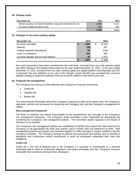#### **20. Finance costs:**

| December 31,                                                         | 2012  | 2011  |
|----------------------------------------------------------------------|-------|-------|
| Interest expense on financial liabilities measured at amortized cost | 2.731 | 3.114 |
| Accretion of debt issuance costs                                     | 217   | 400   |
|                                                                      | 2.948 | 3.514 |

#### **21. Changes in non-cash working capital:**

| December 31,                             |   | 2012  | 2011           |
|------------------------------------------|---|-------|----------------|
| Accounts receivable                      | S | 7,468 | \$<br>(9, 197) |
| Inventory                                |   | (96)  | 197            |
| Prepaid expenses and deposits            |   | 88    | (116)          |
| Loans to employees                       |   | 160   | 283            |
| Accounts payable and accrued liabilities |   | 49    | 1,473          |
|                                          | S | 7.669 | \$<br>(7,360)  |

Non-cash transactions have been excluded from the cash flows. Excluded from non-cash working capital was \$253 relating to the dividend bonus plan for the year ended December 31, 2012. In the year ended December 31, 2011, excluded from non-cash working capital and capital additions and disposals was \$75 in proceeds that was heldback on the sale of the Nitrogen assets and \$53 was excluded from accounts payable relating to equipment additions that had not been settled in cash before year end.

#### **22. Financial risk management:**

The Company has exposure to the following risks arising from financial instruments:

- Credit risk
- **Liquidity risk**
- Market risk

This note presents information about the Company's exposure to each of the above risks, the Company's objectives, policies and processes for measuring and managing risk, and the Company's management of capital.

#### **Risk management framework**

The Board of Directors has overall responsibility for the establishment and oversight of the Company's risk management framework. The Company's audit committee is also responsible for developing and monitoring the Company's risk management policies. The committee reports regularly to the Board of Directors on its activities.

The Company's risk management policies are established to identify and analyze the risks faced by the Company, to set appropriate risk limits and controls, and to monitor risks and adherence to limits. Risk management policies and systems are reviewed regularly to reflect changes in market conditions and the Company's activities. The Company, through its policies and procedures and training, aims to develop a disciplined and constructive control environment in which all employees understand their roles and obligations.

#### **Credit risk**

Credit risk is the risk of financial loss to the Company if a customer or counterparty to a financial instrument fails to meet its contractual obligations, and arises principally from the Company's accounts receivable from customers and loans from employees.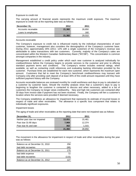#### Exposure to credit risk

The carrying amount of financial assets represents the maximum credit exposure. The maximum exposure to credit risk at the reporting date was as follows:

| December 31,        | 2012   | 2011   |
|---------------------|--------|--------|
| Accounts receivable | 21,382 | 28.850 |
| Loans to employees  | -      | 160    |
|                     | 21,382 | 29,010 |

#### Accounts receivable

The Company's exposure to credit risk is influenced mainly by the individual characteristics of each customer, however, management also considers the demographics of the Company's customer base. During 2012, approximately 26% (2011: 12% with a single customer) of the Company's revenue was attributable to sales transactions with two customers. Currently, majority of the Company's sales are concentrated within the Western Canadian Sedimentary Basin ("WCSB"). This concentration is common amongst companies in the industry.

Management established a credit policy under which each new customer is analyzed individually for creditworthiness before the Company begins to provide services to the customer and prior to offering standard payment terms and conditions. The Company's review includes external ratings, when available, as well as contacting credit references and evaluating banking information provided by the customer. Purchase limits are established for each new customer, which represents the maximum open amount. Customers that fail to meet the Company's benchmark creditworthiness may transact with Company only after providing cash deposit of at least 30% of the credit amount requested until they have sufficient payment history with the Company.

Accounts receivable balances are reviewed monthly for credit worthiness and days to pay is calculated on a customer by customer basis. Should the monthly analysis show that a customer's days to pay is beginning to lengthen the customer is contacted to discuss and when necessary, added to a list of customers the Company no longer views creditworthy. New and high risk customers are contacted after 30 days from invoice date if payment has not been received. Finally, the Company will lien a customer's location where the services were provided if deemed necessary.

The Company establishes an allowance for impairment that represents its estimate of incurred losses in respect of trade and other receivables. The allowance is a specific loss component that relates to individually significant exposures.

#### Impairment losses

The aging of trade and other receivables at the reporting date that were not impaired was as follows:

| December 31,                  | 2012   | 2011   |
|-------------------------------|--------|--------|
| Neither past due nor impaired | 13,051 | 15.461 |
| Past due 31-90 days           | 7,969  | 12.374 |
| Past due 91 and over          | 362    | 1,015  |
|                               | 21,382 | 28,850 |

The movement in the allowance for impairment in respect of trade and other receivables during the year was as follows:

| Balance as at December 31, 2010 | 258   |
|---------------------------------|-------|
| bad debt recoveries             | (88)  |
| Balance as at December 31, 2011 | 170   |
| bad debt expense                | 72    |
| bad debt recoveries             | (115) |
| Balance as at December 31, 2012 |       |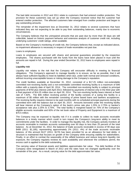The bad debt recoveries in 2012 and 2011 relate to customers that had entered creditor protection. The provision for these customers was set up when the Company received notice that the customer had entered creditor protection. The affected customers later emerged from creditor protection and began to pay outstanding amounts.

The remainder of the impairment loss at December 31, 2012 relates to several customers that have indicated they are not expecting to be able to pay their outstanding balances, mainly due to economic circumstances.

The Company believes that the unimpaired amounts that are past due by more than 30 days are still collectible, based on historic payment behavior and extensive analysis of customer credit risk, including underlying customers' credit ratings, when available.

Based on the Company's monitoring of credit risk, the Company believes that, except as indicated above, no impairment allowance is necessary in respect of trade receivables not past due.

#### Loans to employees

Loans to employees are secured with shares and personal guarantees provided by the respective employees. The shares purchased with the funds from the loans have been placed in trust until the amounts are repaid in full. During the year ended December 31, 2012 loans to employees were repaid in full.

#### **Liquidity risk**

Liquidity risk relates to the risk that the Company will encounter difficulty in meeting its financial obligations. The Company's approach to manage liquidity is to ensure, as far as possible, that it will always have sufficient liquidity to meet its liabilities when due, under both normal and stressed conditions, without incurring unacceptable losses or risking damage to the Company's reputation.

The credit facilities available at December 31, 2012, consisted of a \$17.25 million non-extendable committed non-revolving facility and a non-extendable committed revolving facility to a maximum of \$46 million with a maturity date of April 30, 2014. The committed non-revolving facility is subject to principal payments of \$750 plus interest until April 2013, followed by payments of interest only in the third year with a final payment of \$14.25 million due on April 30, 2014. The non-revolving facility bears interest at fixed rate of 7.42%. The \$46 million revolving portion of the facility consists of a swing line facility to a maximum of \$5 million with the remainder consisting of prime based loans and bankers acceptances. The revolving facility requires interest to be paid monthly with no scheduled principal payments during the committed term with the balance due on April 30, 2014. Amounts borrowed under the revolving facility will bear interest at the Company's option of the bank's prime rate plus 1.25% to 2.75% or banker's acceptance rate plus 2.25% to 3.75%. The total facility is margined based on 75% of the Company's eligible accounts receivable and 60% of the net book value of Property and Equipment to a maximum of \$70.5 million.

The Company may be exposed to liquidity risk if it is unable to collect its trade accounts receivable balances in a timely manner which could in turn impact the Company's long-term ability to meet its commitments under the facilities. In order to manage this liquidity risk, the Company actively monitors all accounts receivable to maintain accounts outstanding over 60 days to less than 25 percent of the total balance. As at December 31, 2012, the balance of trade accounts receivable in excess of 90 days was \$489 (2011: \$1,185), representing approximately 2% (2011: 4%) of the trade accounts receivable balance, of this amount \$127 (2011: \$170) has been provided for as an allowance for bad debts. A structure is maintained that focuses on growth of the Company while ensuring viability for stakeholders. Finally, in an effort to combat the seasonality of the oilfield business and reduce long-term liquidity risk exposure, the Company regularly reviews its cash availability and whenever the conditions permit, the excess cash is applied to the debt outstanding.

The carrying value of financial assets and liabilities approximates fair value. The debt facilities of the Company were renegotiated in March of 2012 and the rates have not changed significantly over the remainder of the year. As a result, carrying value for the debt approximates fair value.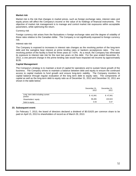#### **Market risk**

Market risk is the risk that changes in market prices, such as foreign exchange rates, interest rates and equity prices will affect the Company's income or the value of its holdings of financial instruments. The objective of market risk management is to manage and control market risk exposures within acceptable parameters, while optimizing the return.

#### Currency risk

Foreign currency risk arises from the fluctuations n foreign exchange rates and the degree of volatility of these rates relative to the Canadian dollar. The Company is not significantly exposed to foreign currency risk.

#### Interest rate risk

The Company is exposed to increases in interest rate changes as the revolving portion of the long-term debt and the swingline bear interest at prime lending rates or bankers acceptances rates. The nonrevolving portion of the facility is fixed for three years at 7.42%. As a result, the Company has eliminated its exposure to interest rate risk for the next two years on this debt. For the year ended December 31, 2012, a one percent change in the prime lending rate would have impacted net income by approximately \$135.

#### **Capital Management**

The Company's strategy is to maintain a level of capital for operations and to sustain future growth of the business. The Company strives to maintain a balance between debt and equity to ensure the continued access to capital markets to fund growth and ensure long-term viability. The Company monitors its capital balance through regular evaluation of the long term debt to equity ratio. The components of capital as well as the long-term debt to equity ratio as of December 31, 2012 and December 31, 2011 are shown in the table below:

|                                             | December 31,<br>2012 | December 31,<br>2011 |
|---------------------------------------------|----------------------|----------------------|
| Long term debt including current<br>portion | \$41,841             | \$47,941             |
| Shareholders' equity                        | 96.465               | 102,624              |
| Debt to equity                              | 0.43                 | 0.47                 |

#### **23. Subsequent event:**

On February 7, 2013, the board of directors declared a dividend of \$0.01625 per common share to be paid on April 15, 2013 to shareholders of record as of March 29, 2013.